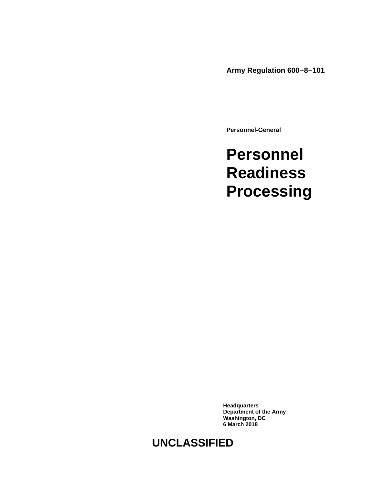**Army Regulation 600–8–101**

**Personnel-General**

## **Personnel Readiness Processing**

**Headquarters Department of the Army Washington, DC 6 March 2018**

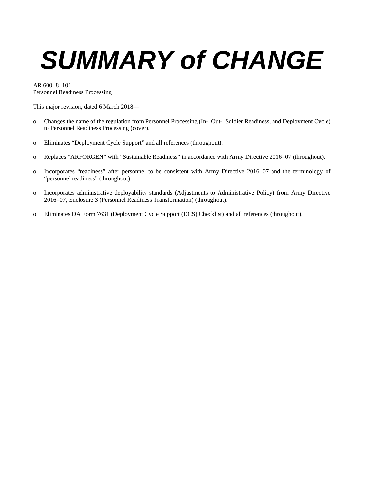# *SUMMARY of CHANGE*

AR 600–8–101 Personnel Readiness Processing

This major revision, dated 6 March 2018—

- o Changes the name of the regulation from Personnel Processing (In-, Out-, Soldier Readiness, and Deployment Cycle) to Personnel Readiness Processing (cover).
- o Eliminates "Deployment Cycle Support" and all references (throughout).
- o Replaces "ARFORGEN" with "Sustainable Readiness" in accordance with Army Directive 2016–07 (throughout).
- o Incorporates "readiness" after personnel to be consistent with Army Directive 2016–07 and the terminology of "personnel readiness" (throughout).
- o Incorporates administrative deployability standards (Adjustments to Administrative Policy) from Army Directive 2016–07, Enclosure 3 (Personnel Readiness Transformation) (throughout).
- o Eliminates DA Form 7631 (Deployment Cycle Support (DCS) Checklist) and all references (throughout).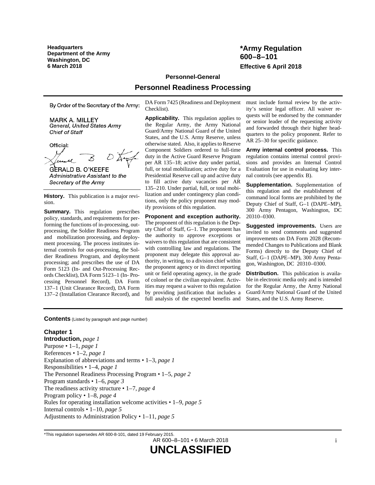**Headquarters Department of the Army Washington, DC**

#### **\*Army Regulation 600–8–101 6 March 2018 Effective 6 April 2018**

#### **Personnel-General**

#### **Personnel Readiness Processing**

By Order of the Secretary of the Army:

**MARK A. MILLEY** General, United States Army Chief of Staff

Official:

**GERALD B. O'KEEFE** Administrative Assistant to the Secretary of the Army

**History.** This publication is a major revision.

**Summary.** This regulation prescribes policy, standards, and requirements for performing the functions of in-processing, outprocessing, the Soldier Readiness Program and mobilization processing, and deployment processing. The process institutes internal controls for out-processing, the Soldier Readiness Program, and deployment processing; and prescribes the use of DA Form 5123 (In- and Out-Processing Records Checklist), DA Form 5123–1 (In- Processing Personnel Record), DA Form 137–1 (Unit Clearance Record), DA Form 137–2 (Installation Clearance Record), and

DA Form 7425 (Readiness and Deployment Checklist).

**Applicability.** This regulation applies to the Regular Army, the Army National Guard/Army National Guard of the United States, and the U.S. Army Reserve, unless otherwise stated. Also, it applies to Reserve Component Soldiers ordered to full-time duty in the Active Guard Reserve Program per AR 135–18; active duty under partial, full, or total mobilization; active duty for a Presidential Reserve call up and active duty to fill active duty vacancies per AR 135–210. Under partial, full, or total mobilization and under contingency plan conditions, only the policy proponent may modify provisions of this regulation.

**Proponent and exception authority.** The proponent of this regulation is the Deputy Chief of Staff, G–1. The proponent has the authority to approve exceptions or waivers to this regulation that are consistent with controlling law and regulations. The proponent may delegate this approval authority, in writing, to a division chief within the proponent agency or its direct reporting unit or field operating agency, in the grade of colonel or the civilian equivalent. Activities may request a waiver to this regulation by providing justification that includes a full analysis of the expected benefits and

must include formal review by the activity's senior legal officer. All waiver requests will be endorsed by the commander or senior leader of the requesting activity and forwarded through their higher headquarters to the policy proponent. Refer to AR 25–30 for specific guidance.

**Army internal control process.** This regulation contains internal control provisions and provides an Internal Control Evaluation for use in evaluating key internal controls (se[e appendix](#page-28-0) B).

**Supplementation.** Supplementation of this regulation and the establishment of command local forms are prohibited by the Deputy Chief of Staff, G–1 (DAPE–MP), 300 Army Pentagon, Washington, DC 20310–0300.

**Suggested improvements.** Users are invited to send comments and suggested improvements on DA Form 2028 (Recommended Changes to Publications and Blank Forms) directly to the Deputy Chief of Staff, G–1 (DAPE–MP), 300 Army Pentagon, Washington, DC 20310–0300.

**Distribution.** This publication is available in electronic media only and is intended for the Regular Army, the Army National Guard/Army National Guard of the United States, and the U.S. Army Reserve.

**Contents** (Listed by paragraph and page number)

#### **Chapter 1**

**Introduction,** *page [1](#page-4-0)* Purpose • 1–1, *page [1](#page-4-1)* References • 1–2, *page [1](#page-4-2)* Explanation of abbreviations and terms • 1–3, *page [1](#page-4-3)* Responsibilities • 1–4, *page [1](#page-4-4)* The Personnel Readiness Processing Program • 1–5, *page [2](#page-5-0)* Program standards • 1–6, *page [3](#page-6-0)* The readiness activity structure • 1–7, *page [4](#page-7-0)* Program policy • 1–8, *page [4](#page-7-1)* Rules for operating installation welcome activities • 1–9, *page [5](#page-8-0)* Internal controls • 1–10, *page [5](#page-8-1)* Adjustments to Administration Policy • 1–11, *page [5](#page-8-2)*

AR 600–8–101 • 6 March 2018

<sup>\*</sup>This regulation supersedes AR 600-8-101, dated 19 February 2015.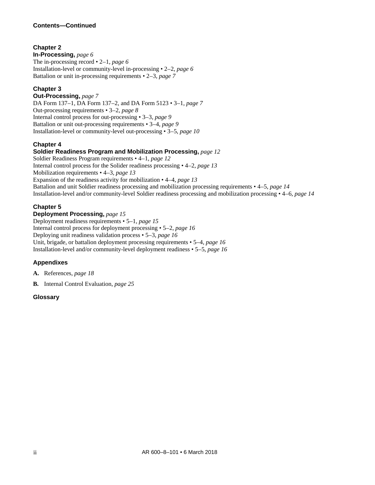#### **Chapter 2**

**In-Processing,** *page [6](#page-9-0)* The in-processing record • 2–1, *page [6](#page-9-1)* Installation-level or community-level in-processing • 2–2, *page [6](#page-9-2)* Battalion or unit in-processing requirements • 2–3, *page [7](#page-10-0)*

#### **Chapter 3**

**Out-Processing,** *page [7](#page-10-1)* DA Form 137–1, DA Form 137–2, and DA Form 5123 • 3–1, *page [7](#page-10-2)* Out-processing requirements • 3–2, *page [8](#page-11-0)* Internal control process for out-processing • 3–3, *page [9](#page-12-0)* Battalion or unit out-processing requirements • 3–4, *page [9](#page-12-1)* Installation-level or community-level out-processing • 3–5, *page [10](#page-13-0)*

#### **Chapter 4**

#### **Soldier Readiness Program and Mobilization Processing,** *page [12](#page-15-0)*

Soldier Readiness Program requirements • 4–1, *page [12](#page-15-1)* Internal control process for the Solider readiness processing • 4–2, *page [13](#page-16-0)* Mobilization requirements • 4–3, *page [13](#page-16-1)* Expansion of the readiness activity for mobilization • 4–4, *page [13](#page-16-2)* Battalion and unit Soldier readiness processing and mobilization processing requirements • 4–5, *page [14](#page-17-0)* Installation-level and/or community-level Soldier readiness processing and mobilization processing • 4–6, *page [14](#page-17-1)*

#### **Chapter 5**

**Deployment Processing,** *page [15](#page-18-0)* Deployment readiness requirements • 5–1, *page [15](#page-18-1)* Internal control process for deployment processing • 5–2, *page [16](#page-19-0)* Deploying unit readiness validation process • 5–3, *page [16](#page-19-1)* Unit, brigade, or battalion deployment processing requirements • 5–4, *page [16](#page-19-2)* Installation-level and/or community-level deployment readiness • 5–5, *page [16](#page-19-3)*

#### **Appendixes**

**A.** References, *page [18](#page-21-0)*

**B.** Internal Control Evaluation, *page [25](#page-28-0)*

#### **Glossary**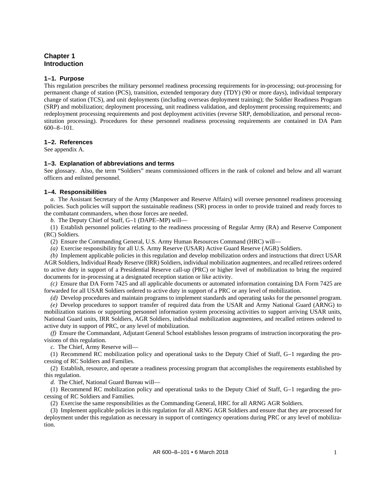#### <span id="page-4-0"></span>**Chapter 1 Introduction**

#### <span id="page-4-1"></span>**1–1. Purpose**

This regulation prescribes the military personnel readiness processing requirements for in-processing; out-processing for permanent change of station (PCS), transition, extended temporary duty (TDY) (90 or more days), individual temporary change of station (TCS), and unit deployments (including overseas deployment training); the Soldier Readiness Program (SRP) and mobilization; deployment processing, unit readiness validation, and deployment processing requirements; and redeployment processing requirements and post deployment activities (reverse SRP, demobilization, and personal reconstitution processing). Procedures for these personnel readiness processing requirements are contained in DA Pam 600–8–101.

#### <span id="page-4-2"></span>**1–2. References**

<span id="page-4-3"></span>See [appendix A.](#page-21-0)

#### **1–3. Explanation of abbreviations and terms**

See [glossary.](#page-29-0) Also, the term "Soldiers" means commissioned officers in the rank of colonel and below and all warrant officers and enlisted personnel.

#### <span id="page-4-4"></span>**1–4. Responsibilities**

*a.* The Assistant Secretary of the Army (Manpower and Reserve Affairs) will oversee personnel readiness processing policies. Such policies will support the sustainable readiness (SR) process in order to provide trained and ready forces to the combatant commanders, when those forces are needed.

*b.* The Deputy Chief of Staff, G–1 (DAPE–MP) will—

(1) Establish personnel policies relating to the readiness processing of Regular Army (RA) and Reserve Component (RC) Soldiers.

(2) Ensure the Commanding General, U.S. Army Human Resources Command (HRC) will—

*(a)* Exercise responsibility for all U.S. Army Reserve (USAR) Active Guard Reserve (AGR) Soldiers.

*(b)* Implement applicable policies in this regulation and develop mobilization orders and instructions that direct USAR AGR Soldiers, Individual Ready Reserve (IRR) Soldiers, individual mobilization augmentees, and recalled retirees ordered to active duty in support of a Presidential Reserve call-up (PRC) or higher level of mobilization to bring the required documents for in-processing at a designated reception station or like activity.

<span id="page-4-5"></span>*(c)* Ensure that DA Form 7425 and all applicable documents or automated information containing DA Form 7425 are forwarded for all USAR Soldiers ordered to active duty in support of a PRC or any level of mobilization.

*(d)* Develop procedures and maintain programs to implement standards and operating tasks for the personnel program. *(e)* Develop procedures to support transfer of required data from the USAR and Army National Guard (ARNG) to mobilization stations or supporting personnel information system processing activities to support arriving USAR units, National Guard units, IRR Soldiers, AGR Soldiers, individual mobilization augmentees, and recalled retirees ordered to active duty in support of PRC, or any level of mobilization.

*(f)* Ensure the Commandant, Adjutant General School establishes lesson programs of instruction incorporating the provisions of this regulation.

*c.* The Chief, Army Reserve will—

(1) Recommend RC mobilization policy and operational tasks to the Deputy Chief of Staff, G–1 regarding the processing of RC Soldiers and Families.

(2) Establish, resource, and operate a readiness processing program that accomplishes the requirements established by this regulation.

*d.* The Chief, National Guard Bureau will—

(1) Recommend RC mobilization policy and operational tasks to the Deputy Chief of Staff, G–1 regarding the processing of RC Soldiers and Families.

(2) Exercise the same responsibilities as the Commanding General, HRC for all ARNG AGR Soldiers.

(3) Implement applicable policies in this regulation for all ARNG AGR Soldiers and ensure that they are processed for deployment under this regulation as necessary in support of contingency operations during PRC or any level of mobilization.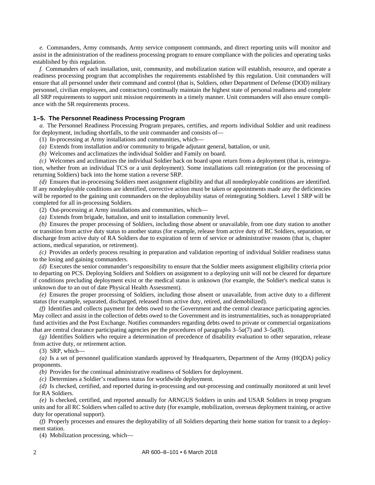*e.* Commanders, Army commands, Army service component commands, and direct reporting units will monitor and assist in the administration of the readiness processing program to ensure compliance with the policies and operating tasks established by this regulation.

*f.* Commanders of each installation, unit, community, and mobilization station will establish, resource, and operate a readiness processing program that accomplishes the requirements established by this regulation. Unit commanders will ensure that all personnel under their command and control (that is, Soldiers, other Department of Defense (DOD) military personnel, civilian employees, and contractors) continually maintain the highest state of personal readiness and complete all SRP requirements to support unit mission requirements in a timely manner. Unit commanders will also ensure compliance with the SR requirements process.

#### <span id="page-5-0"></span>**1–5. The Personnel Readiness Processing Program**

*a.* The Personnel Readiness Processing Program prepares, certifies, and reports individual Soldier and unit readiness for deployment, including shortfalls, to the unit commander and consists of—

- (1) In-processing at Army installations and communities, which—
- *(a)* Extends from installation and/or community to brigade adjutant general, battalion, or unit.
- *(b)* Welcomes and acclimatizes the individual Soldier and Family on board.

*(c)* Welcomes and acclimatizes the individual Soldier back on board upon return from a deployment (that is, reintegration, whether from an individual TCS or a unit deployment). Some installations call reintegration (or the processing of returning Soldiers) back into the home station a reverse SRP.

*(d)* Ensures that in-processing Soldiers meet assignment eligibility and that all nondeployable conditions are identified. If any nondeployable conditions are identified, corrective action must be taken or appointments made any the deficiencies will be reported to the gaining unit commanders on the deployability status of reintegrating Soldiers. Level 1 SRP will be completed for all in-processing Soldiers.

(2) Out-processing at Army installations and communities, which—

*(a)* Extends from brigade, battalion, and unit to installation community level.

*(b)* Ensures the proper processing of Soldiers, including those absent or unavailable, from one duty station to another or transition from active duty status to another status (for example, release from active duty of RC Soldiers, separation, or discharge from active duty of RA Soldiers due to expiration of term of service or administrative reasons (that is, chapter actions, medical separation, or retirement).

*(c)* Provides an orderly process resulting in preparation and validation reporting of individual Soldier readiness status to the losing and gaining commanders.

*(d)* Executes the senior commander's responsibility to ensure that the Soldier meets assignment eligibility criteria prior to departing on PCS. Deploying Soldiers and Soldiers on assignment to a deploying unit will not be cleared for departure if conditions precluding deployment exist or the medical status is unknown (for example, the Soldier's medical status is unknown due to an out of date Physical Health Assessment).

*(e)* Ensures the proper processing of Soldiers, including those absent or unavailable, from active duty to a different status (for example, separated, discharged, released from active duty, retired, and demobilized).

*(f)* Identifies and collects payment for debts owed to the Government and the central clearance participating agencies. May collect and assist in the collection of debts owed to the Government and its instrumentalities, such as nonappropriated fund activities and the Post Exchange. Notifies commanders regarding debts owed to private or commercial organizations that are central clearance participating agencies per the procedures of paragraphs  $3-5a(7)$  and  $3-5a(8)$ .

*(g)* Identifies Soldiers who require a determination of precedence of disability evaluation to other separation, release from active duty, or retirement action.

(3) SRP, which—

*(a)* Is a set of personnel qualification standards approved by Headquarters, Department of the Army (HQDA) policy proponents.

*(b)* Provides for the continual administrative readiness of Soldiers for deployment.

*(c)* Determines a Soldier's readiness status for worldwide deployment.

*(d)* Is checked, certified, and reported during in-processing and out-processing and continually monitored at unit level for RA Soldiers.

*(e)* Is checked, certified, and reported annually for ARNGUS Soldiers in units and USAR Soldiers in troop program units and for all RC Soldiers when called to active duty (for example, mobilization, overseas deployment training, or active duty for operational support).

*(f)* Properly processes and ensures the deployability of all Soldiers departing their home station for transit to a deployment station.

(4) Mobilization processing, which—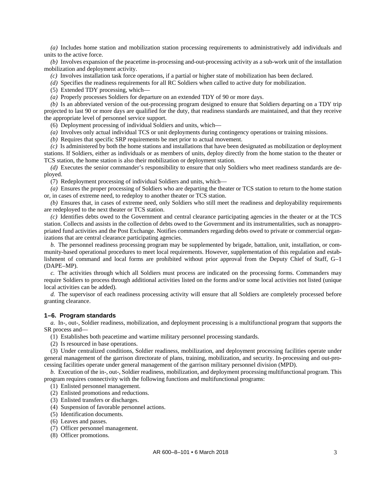*(a)* Includes home station and mobilization station processing requirements to administratively add individuals and units to the active force.

*(b)* Involves expansion of the peacetime in-processing and-out-processing activity as a sub-work unit of the installation mobilization and deployment activity.

*(c)* Involves installation task force operations, if a partial or higher state of mobilization has been declared.

*(d)* Specifies the readiness requirements for all RC Soldiers when called to active duty for mobilization.

(5) Extended TDY processing, which—

*(a)* Properly processes Soldiers for departure on an extended TDY of 90 or more days.

*(b)* Is an abbreviated version of the out-processing program designed to ensure that Soldiers departing on a TDY trip projected to last 90 or more days are qualified for the duty, that readiness standards are maintained, and that they receive the appropriate level of personnel service support.

(6) Deployment processing of individual Soldiers and units, which—

*(a)* Involves only actual individual TCS or unit deployments during contingency operations or training missions.

*(b)* Requires that specific SRP requirements be met prior to actual movement.

*(c)* Is administered by both the home stations and installations that have been designated as mobilization or deployment stations. If Soldiers, either as individuals or as members of units, deploy directly from the home station to the theater or TCS station, the home station is also their mobilization or deployment station.

*(d)* Executes the senior commander's responsibility to ensure that only Soldiers who meet readiness standards are deployed.

(7) Redeployment processing of individual Soldiers and units, which—

*(a)* Ensures the proper processing of Soldiers who are departing the theater or TCS station to return to the home station or, in cases of extreme need, to redeploy to another theater or TCS station.

*(b)* Ensures that, in cases of extreme need, only Soldiers who still meet the readiness and deployability requirements are redeployed to the next theater or TCS station.

*(c)* Identifies debts owed to the Government and central clearance participating agencies in the theater or at the TCS station. Collects and assists in the collection of debts owed to the Government and its instrumentalities, such as nonappropriated fund activities and the Post Exchange. Notifies commanders regarding debts owed to private or commercial organizations that are central clearance participating agencies.

*b.* The personnel readiness processing program may be supplemented by brigade, battalion, unit, installation, or community-based operational procedures to meet local requirements. However, supplementation of this regulation and establishment of command and local forms are prohibited without prior approval from the Deputy Chief of Staff, G–1 (DAPE–MP).

*c.* The activities through which all Soldiers must process are indicated on the processing forms. Commanders may require Soldiers to process through additional activities listed on the forms and/or some local activities not listed (unique local activities can be added).

*d.* The supervisor of each readiness processing activity will ensure that all Soldiers are completely processed before granting clearance.

#### <span id="page-6-0"></span>**1–6. Program standards**

*a.* In-, out-, Soldier readiness, mobilization, and deployment processing is a multifunctional program that supports the SR process and—

(1) Establishes both peacetime and wartime military personnel processing standards.

(2) Is resourced in base operations.

(3) Under centralized conditions, Soldier readiness, mobilization, and deployment processing facilities operate under general management of the garrison directorate of plans, training, mobilization, and security. In-processing and out-processing facilities operate under general management of the garrison military personnel division (MPD).

*b.* Execution of the in-, out-, Soldier readiness, mobilization, and deployment processing multifunctional program. This program requires connectivity with the following functions and multifunctional programs:

- (1) Enlisted personnel management.
- (2) Enlisted promotions and reductions.
- (3) Enlisted transfers or discharges.
- (4) Suspension of favorable personnel actions.
- (5) Identification documents.
- (6) Leaves and passes.
- (7) Officer personnel management.
- (8) Officer promotions.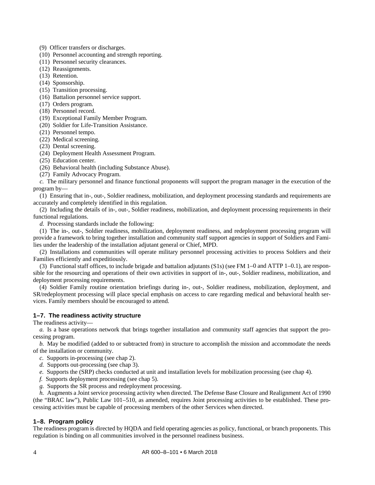(9) Officer transfers or discharges.

- (10) Personnel accounting and strength reporting.
- (11) Personnel security clearances.
- (12) Reassignments.
- (13) Retention.
- (14) Sponsorship.
- (15) Transition processing.
- (16) Battalion personnel service support.
- (17) Orders program.
- (18) Personnel record.
- (19) Exceptional Family Member Program.
- (20) Soldier for Life-Transition Assistance.
- (21) Personnel tempo.
- (22) Medical screening.
- (23) Dental screening.
- (24) Deployment Health Assessment Program.
- (25) Education center.
- (26) Behavioral health (including Substance Abuse).
- (27) Family Advocacy Program.

*c.* The military personnel and finance functional proponents will support the program manager in the execution of the program by—

(1) Ensuring that in-, out-, Soldier readiness, mobilization, and deployment processing standards and requirements are accurately and completely identified in this regulation.

(2) Including the details of in-, out-, Soldier readiness, mobilization, and deployment processing requirements in their functional regulations.

*d.* Processing standards include the following:

(1) The in-, out-, Soldier readiness, mobilization, deployment readiness, and redeployment processing program will provide a framework to bring together installation and community staff support agencies in support of Soldiers and Families under the leadership of the installation adjutant general or Chief, MPD.

(2) Installations and communities will operate military personnel processing activities to process Soldiers and their Families efficiently and expeditiously.

(3) Functional staff offices, to include brigade and battalion adjutants (S1s) (see FM 1–0 and ATTP 1–0.1), are responsible for the resourcing and operations of their own activities in support of in-, out-, Soldier readiness, mobilization, and deployment processing requirements.

(4) Soldier Family routine orientation briefings during in-, out-, Soldier readiness, mobilization, deployment, and SR/redeployment processing will place special emphasis on access to care regarding medical and behavioral health services. Family members should be encouraged to attend.

#### <span id="page-7-0"></span>**1–7. The readiness activity structure**

The readiness activity—

*a.* Is a base operations network that brings together installation and community staff agencies that support the processing program.

*b.* May be modified (added to or subtracted from) in structure to accomplish the mission and accommodate the needs of the installation or community.

- *c.* Supports in-processing (se[e chap](#page-9-0) 2).
- *d.* Supports out-processing (see [chap](#page-10-1) 3).
- *e.* Supports the (SRP) checks conducted at unit and installation levels for mobilization processing (see [chap](#page-15-0) 4).
- *f.* Supports deployment processing (se[e chap](#page-18-0) 5).
- *g.* Supports the SR process and redeployment processing.

*h.* Augments a Joint service processing activity when directed. The Defense Base Closure and Realignment Act of 1990 (the "BRAC law"), Public Law 101–510, as amended, requires Joint processing activities to be established. These processing activities must be capable of processing members of the other Services when directed.

#### <span id="page-7-1"></span>**1–8. Program policy**

The readiness program is directed by HQDA and field operating agencies as policy, functional, or branch proponents. This regulation is binding on all communities involved in the personnel readiness business.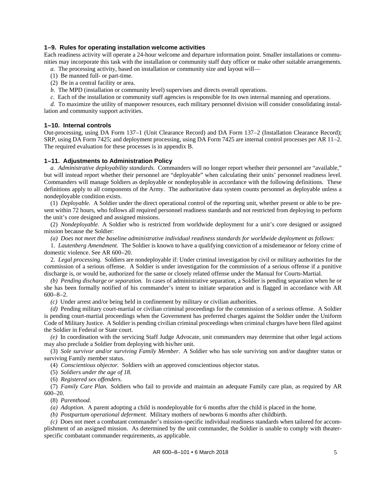#### <span id="page-8-0"></span>**1–9. Rules for operating installation welcome activities**

Each readiness activity will operate a 24-hour welcome and departure information point. Smaller installations or communities may incorporate this task with the installation or community staff duty officer or make other suitable arrangements.

- *a.* The processing activity, based on installation or community size and layout will—
- (1) Be manned full- or part-time.
- (2) Be in a central facility or area.
- *b.* The MPD (installation or community level) supervises and directs overall operations.
- *c.* Each of the installation or community staff agencies is responsible for its own internal manning and operations.

*d.* To maximize the utility of manpower resources, each military personnel division will consider consolidating installation and community support activities.

#### <span id="page-8-1"></span>**1–10. Internal controls**

Out-processing, using DA Form 137–1 (Unit Clearance Record) and DA Form 137–2 (Installation Clearance Record); SRP, using DA Form 7425; and deployment processing, using DA Form 7425 are internal control processes per AR 11–2. The required evaluation for these processes is in [appendix B.](#page-28-0)

#### <span id="page-8-2"></span>**1–11. Adjustments to Administration Policy**

*a. Administrative deployability standards.* Commanders will no longer report whether their personnel are "available," but will instead report whether their personnel are "deployable" when calculating their units' personnel readiness level. Commanders will manage Soldiers as deployable or nondeployable in accordance with the following definitions. These definitions apply to all components of the Army. The authoritative data system counts personnel as deployable unless a nondeployable condition exists.

(1) *Deployable.* A Soldier under the direct operational control of the reporting unit, whether present or able to be present within 72 hours, who follows all required personnel readiness standards and not restricted from deploying to perform the unit's core designed and assigned missions.

(2) *Nondeployable.* A Soldier who is restricted from worldwide deployment for a unit's core designed or assigned mission because the Soldier:

*(a) Does not meet the baseline administrative individual readiness standards for worldwide deployment as follows:*

1. *Lautenberg Amendment.* The Soldier is known to have a qualifying conviction of a misdemeanor or felony crime of domestic violence. See AR 600–20.

2. *Legal processing.* Soldiers are nondeployable if: Under criminal investigation by civil or military authorities for the commission of a serious offense. A Soldier is under investigation for the commission of a serious offense if a punitive discharge is, or would be, authorized for the same or closely related offense under the Manual for Courts-Martial.

*(b) Pending discharge or separation.* In cases of administrative separation, a Soldier is pending separation when he or she has been formally notified of his commander's intent to initiate separation and is flagged in accordance with AR  $600 - 8 - 2.$ 

*(c)* Under arrest and/or being held in confinement by military or civilian authorities.

*(d)* Pending military court-martial or civilian criminal proceedings for the commission of a serious offense. A Soldier is pending court-martial proceedings when the Government has preferred charges against the Soldier under the Uniform Code of Military Justice. A Soldier is pending civilian criminal proceedings when criminal charges have been filed against the Soldier in Federal or State court.

*(e)* In coordination with the servicing Staff Judge Advocate, unit commanders may determine that other legal actions may also preclude a Soldier from deploying with his/her unit.

(3) *Sole survivor and/or surviving Family Member.* A Soldier who has sole surviving son and/or daughter status or surviving Family member status.

(4) *Conscientious objector.* Soldiers with an approved conscientious objector status.

(5) *Soldiers under the age of 18.*

(6) *Registered sex offenders.*

(7) *Family Care Plan.* Soldiers who fail to provide and maintain an adequate Family care plan, as required by AR 600–20.

(8) *Parenthood.*

*(a) Adoption.* A parent adopting a child is nondeployable for 6 months after the child is placed in the home.

*(b) Postpartum operational deferment.* Military mothers of newborns 6 months after childbirth.

*(c)* Does not meet a combatant commander's mission-specific individual readiness standards when tailored for accomplishment of an assigned mission. As determined by the unit commander, the Soldier is unable to comply with theaterspecific combatant commander requirements, as applicable.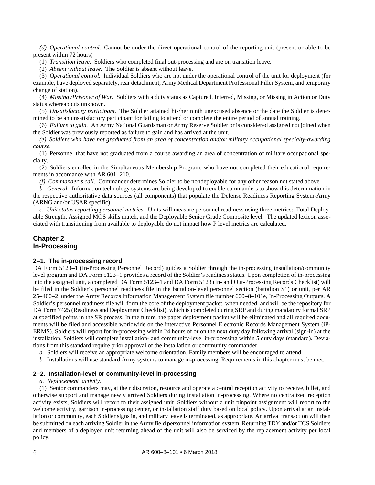*(d) Operational control.* Cannot be under the direct operational control of the reporting unit (present or able to be present within 72 hours)

(1) *Transition leave.* Soldiers who completed final out-processing and are on transition leave.

(2) *Absent without leave.* The Soldier is absent without leave.

(3) *Operational control.* Individual Soldiers who are not under the operational control of the unit for deployment (for example, have deployed separately, rear detachment, Army Medical Department Professional Filler System, and temporary change of station).

(4) *Missing /Prisoner of War.* Soldiers with a duty status as Captured, Interred, Missing, or Missing in Action or Duty status whereabouts unknown.

(5) *Unsatisfactory participant.* The Soldier attained his/her ninth unexcused absence or the date the Soldier is determined to be an unsatisfactory participant for failing to attend or complete the entire period of annual training.

(6) *Failure to gain.* An Army National Guardsman or Army Reserve Soldier or is considered assigned not joined when the Soldier was previously reported as failure to gain and has arrived at the unit.

*(e) Soldiers who have not graduated from an area of concentration and/or military occupational specialty-awarding course.*

(1) Personnel that have not graduated from a course awarding an area of concentration or military occupational specialty.

(2) Soldiers enrolled in the Simultaneous Membership Program, who have not completed their educational requirements in accordance with AR 601–210.

*(f) Commander's call.* Commander determines Soldier to be nondeployable for any other reason not stated above.

*b. General.* Information technology systems are being developed to enable commanders to show this determination in the respective authoritative data sources (all components) that populate the Defense Readiness Reporting System-Army (ARNG and/or USAR specific).

*c. Unit status reporting personnel metrics.* Units will measure personnel readiness using three metrics: Total Deployable Strength, Assigned MOS skills match, and the Deployable Senior Grade Composite level. The updated lexicon associated with transitioning from available to deployable do not impact how P level metrics are calculated.

#### <span id="page-9-0"></span>**Chapter 2 In-Processing**

#### <span id="page-9-1"></span>**2–1. The in-processing record**

DA Form 5123–1 (In-Processing Personnel Record) guides a Soldier through the in-processing installation/community level program and DA Form 5123–1 provides a record of the Soldier's readiness status. Upon completion of in-processing into the assigned unit, a completed DA Form 5123–1 and DA Form 5123 (In- and Out-Processing Records Checklist) will be filed in the Soldier's personnel readiness file in the battalion-level personnel section (battalion S1) or unit, per AR 25–400–2, under the Army Records Information Management System file number 600–8–101e, In-Processing Outputs. A Soldier's personnel readiness file will form the core of the deployment packet, when needed, and will be the repository for DA Form 7425 (Readiness and Deployment Checklist), which is completed during SRP and during mandatory formal SRP at specified points in the SR process. In the future, the paper deployment packet will be eliminated and all required documents will be filed and accessible worldwide on the interactive Personnel Electronic Records Management System (iP-ERMS). Soldiers will report for in-processing within 24 hours of or on the next duty day following arrival (sign-in) at the installation. Soldiers will complete installation- and community-level in-processing within 5 duty days (standard). Deviations from this standard require prior approval of the installation or community commander.

- *a.* Soldiers will receive an appropriate welcome orientation. Family members will be encouraged to attend.
- *b.* Installations will use standard Army systems to manage in-processing. Requirements in this chapter must be met.

#### <span id="page-9-2"></span>**2–2. Installation-level or community-level in-processing**

#### *a. Replacement activity*.

(1) Senior commanders may, at their discretion, resource and operate a central reception activity to receive, billet, and otherwise support and manage newly arrived Soldiers during installation in-processing. Where no centralized reception activity exists, Soldiers will report to their assigned unit. Soldiers without a unit pinpoint assignment will report to the welcome activity, garrison in-processing center, or installation staff duty based on local policy. Upon arrival at an installation or community, each Soldier signs in, and military leave is terminated, as appropriate. An arrival transaction will then be submitted on each arriving Soldier in the Army field personnel information system. Returning TDY and/or TCS Soldiers and members of a deployed unit returning ahead of the unit will also be serviced by the replacement activity per local policy.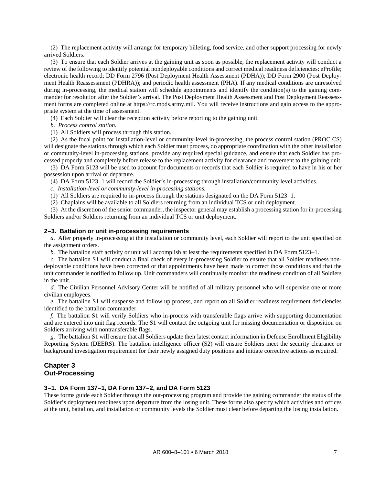(2) The replacement activity will arrange for temporary billeting, food service, and other support processing for newly arrived Soldiers.

(3) To ensure that each Soldier arrives at the gaining unit as soon as possible, the replacement activity will conduct a review of the following to identify potential nondeployable conditions and correct medical readiness deficiencies: eProfile; electronic health record; DD Form 2796 (Post Deployment Health Assessment (PDHA)); DD Form 2900 (Post Deployment Health Reassessment (PDHRA)); and periodic health assessment (PHA). If any medical conditions are unresolved during in-processing, the medical station will schedule appointments and identify the condition(s) to the gaining commander for resolution after the Soldier's arrival. The Post Deployment Health Assessment and Post Deployment Reassessment forms are completed online at [https://rc.mods.army.mil.](https://rc.mods.army.mil/) You will receive instructions and gain access to the appropriate system at the time of assessment.

(4) Each Soldier will clear the reception activity before reporting to the gaining unit.

*b. Process control station.*

(1) All Soldiers will process through this station.

(2) As the focal point for installation-level or community-level in-processing, the process control station (PROC CS) will designate the stations through which each Soldier must process, do appropriate coordination with the other installation or community-level in-processing stations, provide any required special guidance, and ensure that each Soldier has processed properly and completely before release to the replacement activity for clearance and movement to the gaining unit.

<span id="page-10-3"></span>(3) DA Form 5123 will be used to account for documents or records that each Soldier is required to have in his or her possession upon arrival or departure.

<span id="page-10-4"></span>(4) DA Form 5123–1 will record the Soldier's in-processing through installation/community level activities.

*c. Installation-level or community-level in-processing stations.*

<span id="page-10-5"></span>(1) All Soldiers are required to in-process through the stations designated on the DA Form 5123–1.

(2) Chaplains will be available to all Soldiers returning from an individual TCS or unit deployment.

(3) At the discretion of the senior commander, the inspector general may establish a processing station for in-processing Soldiers and/or Soldiers returning from an individual TCS or unit deployment.

#### <span id="page-10-0"></span>**2–3. Battalion or unit in-processing requirements**

*a.* After properly in-processing at the installation or community level, each Soldier will report to the unit specified on the assignment orders.

<span id="page-10-6"></span>*b.* The battalion staff activity or unit will accomplish at least the requirements specified in DA Form 5123–1.

*c.* The battalion S1 will conduct a final check of every in-processing Soldier to ensure that all Soldier readiness nondeployable conditions have been corrected or that appointments have been made to correct those conditions and that the unit commander is notified to follow up. Unit commanders will continually monitor the readiness condition of all Soldiers in the unit.

*d.* The Civilian Personnel Advisory Center will be notified of all military personnel who will supervise one or more civilian employees.

*e.* The battalion S1 will suspense and follow up process, and report on all Soldier readiness requirement deficiencies identified to the battalion commander.

*f.* The battalion S1 will verify Soldiers who in-process with transferable flags arrive with supporting documentation and are entered into unit flag records. The S1 will contact the outgoing unit for missing documentation or disposition on Soldiers arriving with nontransferable flags.

*g.* The battalion S1 will ensure that all Soldiers update their latest contact information in Defense Enrollment Eligibility Reporting System (DEERS). The battalion intelligence officer (S2) will ensure Soldiers meet the security clearance or background investigation requirement for their newly assigned duty positions and initiate corrective actions as required.

#### <span id="page-10-1"></span>**Chapter 3 Out-Processing**

#### <span id="page-10-2"></span>**3–1. DA Form 137–1, DA Form 137–2, and DA Form 5123**

These forms guide each Soldier through the out-processing program and provide the gaining commander the status of the Soldier's deployment readiness upon departure from the losing unit. These forms also specify which activities and offices at the unit, battalion, and installation or community levels the Soldier must clear before departing the losing installation.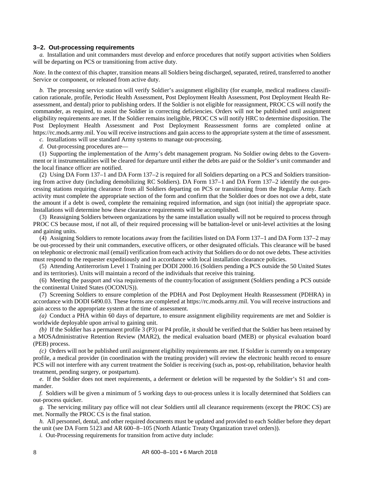#### <span id="page-11-0"></span>**3–2. Out-processing requirements**

*a.* Installation and unit commanders must develop and enforce procedures that notify support activities when Soldiers will be departing on PCS or transitioning from active duty.

*Note.* In the context of this chapter, transition means all Soldiers being discharged, separated, retired, transferred to another Service or component, or released from active duty.

*b.* The processing service station will verify Soldier's assignment eligibility (for example, medical readiness classification rationale, profile, Periodic Health Assessment, Post Deployment Health Assessment, Post Deployment Health Reassessment, and dental) prior to publishing orders. If the Soldier is not eligible for reassignment, PROC CS will notify the commander, as required, to assist the Soldier in correcting deficiencies. Orders will not be published until assignment eligibility requirements are met. If the Soldier remains ineligible, PROC CS will notify HRC to determine disposition. The Post Deployment Health Assessment and Post Deployment Reassessment forms are completed online at [https://rc.mods.army.mil.](https://rc.mods.army.mil/) You will receive instructions and gain access to the appropriate system at the time of assessment.

*c.* Installations will use standard Army systems to manage out-processing.

*d.* Out-processing procedures are—

(1) Supporting the implementation of the Army's debt management program. No Soldier owing debts to the Government or it instrumentalities will be cleared for departure until either the debts are paid or the Soldier's unit commander and the local finance officer are notified.

<span id="page-11-1"></span>(2) Using DA Form 137–1 and DA Form 137–2 is required for all Soldiers departing on a PCS and Soldiers transitioning from active duty (including demobilizing RC Soldiers). DA Form 137–1 and DA Form 137–2 identify the out-processing stations requiring clearance from all Soldiers departing on PCS or transitioning from the Regular Army. Each activity must complete the appropriate section of the form and confirm that the Soldier does or does not owe a debt, state the amount if a debt is owed, complete the remaining required information, and sign (not initial) the appropriate space. Installations will determine how these clearance requirements will be accomplished.

(3) Reassigning Soldiers between organizations by the same installation usually will not be required to process through PROC CS because most, if not all, of their required processing will be battalion-level or unit-level activities at the losing and gaining units.

(4) Assigning Soldiers to remote locations away from the facilities listed on DA Form 137–1 and DA Form 137–2 may be out-processed by their unit commanders, executive officers, or other designated officials. This clearance will be based on telephonic or electronic mail (email) verification from each activity that Soldiers do or do not owe debts. These activities must respond to the requester expeditiously and in accordance with local installation clearance policies.

(5) Attending Antiterrorism Level 1 Training per DODI 2000.16 (Soldiers pending a PCS outside the 50 United States and its territories). Units will maintain a record of the individuals that receive this training.

(6) Meeting the passport and visa requirements of the country/location of assignment (Soldiers pending a PCS outside the continental United States (OCONUS)).

(7) Screening Soldiers to ensure completion of the PDHA and Post Deployment Health Reassessment (PDHRA) in accordance with DODI 6490.03. These forms are completed at [https://rc.mods.army.mil.](https://rc.mods.army.mil/) You will receive instructions and gain access to the appropriate system at the time of assessment.

*(a)* Conduct a PHA within 60 days of departure, to ensure assignment eligibility requirements are met and Soldier is worldwide deployable upon arrival to gaining unit.

*(b)* If the Soldier has a permanent profile 3 (P3) or P4 profile, it should be verified that the Soldier has been retained by a MOSAdministrative Retention Review (MAR2), the medical evaluation board (MEB) or physical evaluation board (PEB) process.

*(c)* Orders will not be published until assignment eligibility requirements are met. If Soldier is currently on a temporary profile, a medical provider (in coordination with the treating provider) will review the electronic health record to ensure PCS will not interfere with any current treatment the Soldier is receiving (such as, post-op, rehabilitation, behavior health treatment, pending surgery, or postpartum).

*e.* If the Soldier does not meet requirements, a deferment or deletion will be requested by the Soldier's S1 and commander.

*f.* Soldiers will be given a minimum of 5 working days to out-process unless it is locally determined that Soldiers can out-process quicker.

*g.* The servicing military pay office will not clear Soldiers until all clearance requirements (except the PROC CS) are met. Normally the PROC CS is the final station.

<span id="page-11-2"></span>*h.* All personnel, dental, and other required documents must be updated and provided to each Soldier before they depart the unit (see DA Form 5123 and AR 600–8–105 (North Atlantic Treaty Organization travel orders)).

*i.* Out-Processing requirements for transition from active duty include: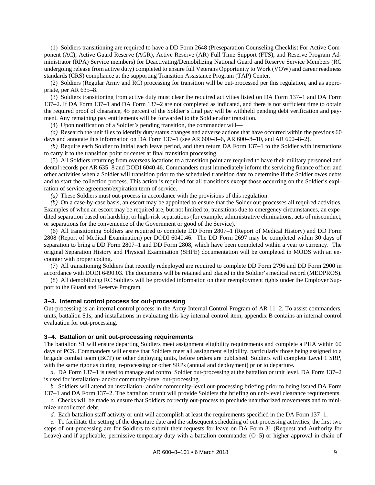(1) Soldiers transitioning are required to have a DD Form 2648 (Preseparation Counseling Checklist For Active Component (AC), Active Guard Reserve (AGR), Active Reserve (AR) Full Time Support (FTS), and Reserve Program Administrator (RPA) Service members) for Deactivating/Demobilizing National Guard and Reserve Service Members (RC undergoing release from active duty) completed to ensure full Veterans Opportunity to Work (VOW) and career readiness standards (CRS) compliance at the supporting Transition Assistance Program (TAP) Center.

<span id="page-12-2"></span>(2) Soldiers (Regular Army and RC) processing for transition will be out-processed per this regulation, and as appropriate, per AR 635–8.

(3) Soldiers transitioning from active duty must clear the required activities listed on DA Form 137–1 and DA Form 137–2. If DA Form 137–1 and DA Form 137–2 are not completed as indicated, and there is not sufficient time to obtain the required proof of clearance, 45 percent of the Soldier's final pay will be withheld pending debt verification and payment. Any remaining pay entitlements will be forwarded to the Soldier after transition.

(4) Upon notification of a Soldier's pending transition, the commander will—

*(a)* Research the unit files to identify duty status changes and adverse actions that have occurred within the previous 60 days and annotate this information on DA Form 137–1 (see AR 600–8–6, AR 600–8–10, and AR 600–8–2).

*(b)* Require each Soldier to initial each leave period, and then return DA Form 137–1 to the Soldier with instructions to carry it to the transition point or center at final transition processing.

(5) All Soldiers returning from overseas locations to a transition point are required to have their military personnel and dental records per AR 635–8 and DODI 6040.46. Commanders must immediately inform the servicing finance officer and other activities when a Soldier will transition prior to the scheduled transition date to determine if the Soldier owes debts and to start the collection process. This action is required for all transitions except those occurring on the Soldier's expiration of service agreement/expiration term of service.

*(a)* These Soldiers must out-process in accordance with the provisions of this regulation.

*(b)* On a case-by-case basis, an escort may be appointed to ensure that the Solder out-processes all required activities. Examples of when an escort may be required are, but not limited to, transitions due to emergency circumstances, an expedited separation based on hardship, or high-risk separations (for example, administrative eliminations, acts of misconduct, or separations for the convenience of the Government or good of the Service).

(6) All transitioning Soldiers are required to complete DD Form 2807–1 (Report of Medical History) and DD Form 2808 (Report of Medical Examination) per DODI 6040.46. The DD Form 2697 may be completed within 30 days of separation to bring a DD Form 2807–1 and DD Form 2808, which have been completed within a year to currency. The original Separation History and Physical Examination (SHPE) documentation will be completed in MODS with an encounter with proper coding.

(7) All transitioning Soldiers that recently redeployed are required to complete DD Form 2796 and DD Form 2900 in accordance with DODI 6490.03. The documents will be retained and placed in the Soldier's medical record (MEDPROS).

(8) All demobilizing RC Soldiers will be provided information on their reemployment rights under the Employer Support to the Guard and Reserve Program.

#### <span id="page-12-0"></span>**3–3. Internal control process for out-processing**

Out-processing is an internal control process in the Army Internal Control Program of AR 11–2. To assist commanders, units, battalion S1s, and installations in evaluating this key internal control item, [appendix B](#page-28-0) contains an internal control evaluation for out-processing.

#### <span id="page-12-1"></span>**3–4. Battalion or unit out-processing requirements**

The battalion S1 will ensure departing Soldiers meet assignment eligibility requirements and complete a PHA within 60 days of PCS. Commanders will ensure that Soldiers meet all assignment eligibility, particularly those being assigned to a brigade combat team (BCT) or other deploying units, before orders are published. Soldiers will complete Level 1 SRP, with the same rigor as during in-processing or other SRPs (annual and deployment) prior to departure.

*a.* DA Form 137–1 is used to manage and control Soldier out-processing at the battalion or unit level. DA Form 137–2 is used for installation- and/or community-level out-processing.

*b.* Soldiers will attend an installation- and/or community-level out-processing briefing prior to being issued DA Form 137–1 and DA Form 137–2. The battalion or unit will provide Soldiers the briefing on unit-level clearance requirements.

*c.* Checks will be made to ensure that Soldiers correctly out-process to preclude unauthorized movements and to minimize uncollected debt.

*d.* Each battalion staff activity or unit will accomplish at least the requirements specified in the DA Form 137–1.

*e.* To facilitate the setting of the departure date and the subsequent scheduling of out-processing activities, the first two steps of out-processing are for Soldiers to submit their requests for leave on DA Form 31 (Request and Authority for Leave) and if applicable, permissive temporary duty with a battalion commander (O–5) or higher approval in chain of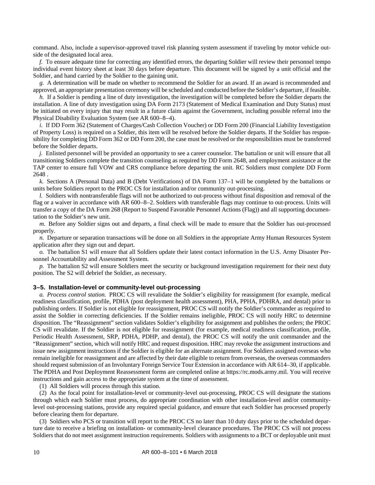command. Also, include a supervisor-approved travel risk planning system assessment if traveling by motor vehicle outside of the designated local area.

*f.* To ensure adequate time for correcting any identified errors, the departing Soldier will review their personnel tempo individual event history sheet at least 30 days before departure. This document will be signed by a unit official and the Soldier, and hand carried by the Soldier to the gaining unit.

*g.* A determination will be made on whether to recommend the Soldier for an award. If an award is recommended and approved, an appropriate presentation ceremony will be scheduled and conducted before the Soldier's departure, if feasible.

*h.* If a Soldier is pending a line of duty investigation, the investigation will be completed before the Soldier departs the installation. A line of duty investigation using DA Form 2173 (Statement of Medical Examination and Duty Status) must be initiated on every injury that may result in a future claim against the Government, including possible referral into the Physical Disability Evaluation System (see AR 600–8–4).

*i.* If DD Form 362 (Statement of Charges/Cash Collection Voucher) or DD Form 200 (Financial Liability Investigation of Property Loss) is required on a Soldier, this item will be resolved before the Soldier departs. If the Soldier has responsibility for completing DD Form 362 or DD Form 200, the case must be resolved or the responsibilities must be transferred before the Soldier departs.

*j.* Enlisted personnel will be provided an opportunity to see a career counselor. The battalion or unit will ensure that all transitioning Soldiers complete the transition counseling as required by DD Form 2648, and employment assistance at the TAP center to ensure full VOW and CRS compliance before departing the unit. RC Soldiers must complete DD Form 2648 .

*k.* Sections A (Personal Data) and B (Debt Verifications) of DA Form 137–1 will be completed by the battalions or units before Soldiers report to the PROC CS for installation and/or community out-processing.

*l.* Soldiers with nontransferable flags will not be authorized to out-process without final disposition and removal of the flag or a waiver in accordance with AR 600–8–2. Soldiers with transferable flags may continue to out-process. Units will transfer a copy of the DA Form 268 (Report to Suspend Favorable Personnel Actions (Flag)) and all supporting documentation to the Soldier's new unit.

*m.* Before any Soldier signs out and departs, a final check will be made to ensure that the Soldier has out-processed properly.

*n.* Departure or separation transactions will be done on all Soldiers in the appropriate Army Human Resources System application after they sign out and depart.

*o.* The battalion S1 will ensure that all Soldiers update their latest contact information in the U.S. Army Disaster Personnel Accountability and Assessment System.

*p.* The battalion S2 will ensure Soldiers meet the security or background investigation requirement for their next duty position. The S2 will debrief the Soldier, as necessary.

#### <span id="page-13-0"></span>**3–5. Installation-level or community-level out-processing**

*a. Process control station.* PROC CS will revalidate the Soldier's eligibility for reassignment (for example, medical readiness classification, profile, PDHA (post deployment health assessment), PHA, PPHA, PDHRA, and dental) prior to publishing orders. If Soldier is not eligible for reassignment, PROC CS will notify the Soldier's commander as required to assist the Soldier in correcting deficiencies. If the Soldier remains ineligible, PROC CS will notify HRC to determine disposition. The "Reassignment" section validates Soldier's eligibility for assignment and publishes the orders; the PROC CS will revalidate. If the Soldier is not eligible for reassignment (for example, medical readiness classification, profile, Periodic Health Assessment, SRP, PDHA, PDHP, and dental), the PROC CS will notify the unit commander and the "Reassignment" section, which will notify HRC and request disposition. HRC may revoke the assignment instructions and issue new assignment instructions if the Soldier is eligible for an alternate assignment. For Soldiers assigned overseas who remain ineligible for reassignment and are affected by their date eligible to return from overseas, the overseas commanders should request submission of an Involuntary Foreign Service Tour Extension in accordance with AR 614–30, if applicable. The PDHA and Post Deployment Reassessment forms are completed online at [https://rc.mods.army.mil.](https://rc.mods.army.mil/) You will receive instructions and gain access to the appropriate system at the time of assessment.

(1) All Soldiers will process through this station.

(2) As the focal point for installation-level or community-level out-processing, PROC CS will designate the stations through which each Soldier must process, do appropriate coordination with other installation-level and/or communitylevel out-processing stations, provide any required special guidance, and ensure that each Soldier has processed properly before clearing them for departure.

(3) Soldiers who PCS or transition will report to the PROC CS no later than 10 duty days prior to the scheduled departure date to receive a briefing on installation- or community-level clearance procedures. The PROC CS will not process Soldiers that do not meet assignment instruction requirements. Soldiers with assignments to a BCT or deployable unit must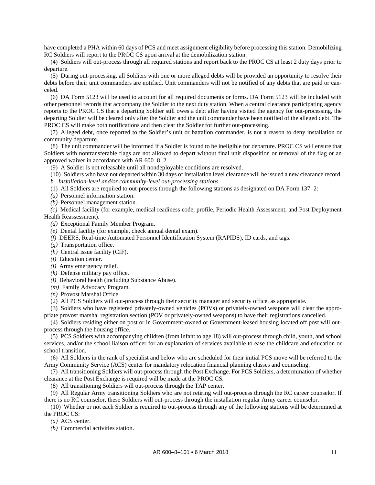have completed a PHA within 60 days of PCS and meet assignment eligibility before processing this station. Demobilizing RC Soldiers will report to the PROC CS upon arrival at the demobilization station.

(4) Soldiers will out-process through all required stations and report back to the PROC CS at least 2 duty days prior to departure.

(5) During out-processing, all Soldiers with one or more alleged debts will be provided an opportunity to resolve their debts before their unit commanders are notified. Unit commanders will not be notified of any debts that are paid or canceled.

<span id="page-14-2"></span>(6) DA Form 5123 will be used to account for all required documents or forms. DA Form 5123 will be included with other personnel records that accompany the Soldier to the next duty station. When a central clearance participating agency reports to the PROC CS that a departing Soldier still owes a debt after having visited the agency for out-processing, the departing Soldier will be cleared only after the Soldier and the unit commander have been notified of the alleged debt. The PROC CS will make both notifications and then clear the Soldier for further out-processing.

<span id="page-14-0"></span>(7) Alleged debt, once reported to the Soldier's unit or battalion commander, is not a reason to deny installation or community departure.

<span id="page-14-1"></span>(8) The unit commander will be informed if a Soldier is found to be ineligible for departure. PROC CS will ensure that Soldiers with nontransferable flags are not allowed to depart without final unit disposition or removal of the flag or an approved waiver in accordance with AR 600–8–2.

(9) A Soldier is not releasable until all nondeployable conditions are resolved.

(10) Soldiers who have not departed within 30 days of installation level clearance will be issued a new clearance record.

*b. Installation-level and/or community-level out-processing stations.*

(1) All Soldiers are required to out-process through the following stations as designated on DA Form 137–2:

*(a)* Personnel information station.

*(b)* Personnel management station.

*(c)* Medical facility (for example, medical readiness code, profile, Periodic Health Assessment, and Post Deployment Health Reassessment).

*(d)* Exceptional Family Member Program.

*(e)* Dental facility (for example, check annual dental exam).

*(f)* DEERS, Real-time Automated Personnel Identification System (RAPIDS), ID cards, and tags.

*(g)* Transportation office.

*(h)* Central issue facility (CIF).

*(i)* Education center.

*(j)* Army emergency relief.

*(k)* Defense military pay office.

*(l)* Behavioral health (including Substance Abuse).

*(m)* Family Advocacy Program.

*(n)* Provost Marshal Office.

(2) All PCS Soldiers will out-process through their security manager and security office, as appropriate.

(3) Soldiers who have registered privately-owned vehicles (POVs) or privately-owned weapons will clear the appropriate provost marshal registration section (POV or privately-owned weapons) to have their registrations cancelled.

(4) Soldiers residing either on post or in Government-owned or Government-leased housing located off post will outprocess through the housing office.

(5) PCS Soldiers with accompanying children (from infant to age 18) will out-process through child, youth, and school services, and/or the school liaison officer for an explanation of services available to ease the childcare and education or school transition.

(6) All Soldiers in the rank of specialist and below who are scheduled for their initial PCS move will be referred to the Army Community Service (ACS) center for mandatory relocation financial planning classes and counseling.

(7) All transitioning Soldiers will out-process through the Post Exchange. For PCS Soldiers, a determination of whether clearance at the Post Exchange is required will be made at the PROC CS.

(8) All transitioning Soldiers will out-process through the TAP center.

(9) All Regular Army transitioning Soldiers who are not retiring will out-process through the RC career counselor. If there is no RC counselor, these Soldiers will out-process through the installation regular Army career counselor.

(10) Whether or not each Soldier is required to out-process through any of the following stations will be determined at the PROC CS:

*(a)* ACS center.

*(b)* Commercial activities station.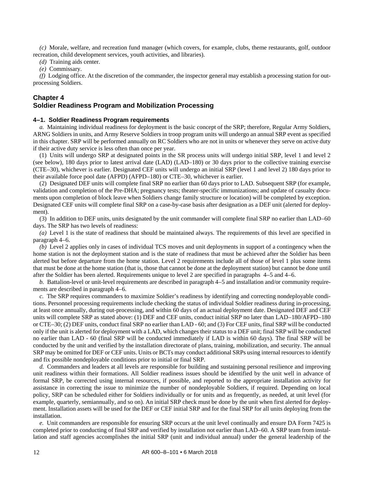*(c)* Morale, welfare, and recreation fund manager (which covers, for example, clubs, theme restaurants, golf, outdoor recreation, child development services, youth activities, and libraries).

*(d)* Training aids center.

*(e)* Commissary.

*(f)* Lodging office. At the discretion of the commander, the inspector general may establish a processing station for outprocessing Soldiers.

#### **Chapter 4**

#### <span id="page-15-1"></span><span id="page-15-0"></span>**Soldier Readiness Program and Mobilization Processing**

#### **4–1. Soldier Readiness Program requirements**

*a.* Maintaining individual readiness for deployment is the basic concept of the SRP; therefore, Regular Army Soldiers, ARNG Soldiers in units, and Army Reserve Soldiers in troop program units will undergo an annual SRP event as specified in this chapter. SRP will be performed annually on RC Soldiers who are not in units or whenever they serve on active duty if their active duty service is less often than once per year.

(1) Units will undergo SRP at designated points in the SR process units will undergo initial SRP, level 1 and level 2 (see below), 180 days prior to latest arrival date (LAD) (LAD–180) or 30 days prior to the collective training exercise (CTE–30), whichever is earlier. Designated CEF units will undergo an initial SRP (level 1 and level 2) 180 days prior to their available force pool date (AFPD) (AFPD–180) or CTE–30, whichever is earlier.

(2) Designated DEF units will complete final SRP no earlier than 60 days prior to LAD. Subsequent SRP (for example, validation and completion of the Pre-DHA; pregnancy tests; theater-specific immunizations; and update of casualty documents upon completion of block leave when Soldiers change family structure or location) will be completed by exception. Designated CEF units will complete final SRP on a case-by-case basis after designation as a DEF unit (alerted for deployment).

(3) In addition to DEF units, units designated by the unit commander will complete final SRP no earlier than LAD–60 days. The SRP has two levels of readiness:

*(a)* Level 1 is the state of readiness that should be maintained always. The requirements of this level are specified in [paragraph](#page-17-1) 4–6.

*(b)* Level 2 applies only in cases of individual TCS moves and unit deployments in support of a contingency when the home station is not the deployment station and is the state of readiness that must be achieved after the Soldier has been alerted but before departure from the home station. Level 2 requirements include all of those of level 1 plus some items that must be done at the home station (that is, those that cannot be done at the deployment station) but cannot be done until after the Soldier has been alerted. Requirements unique to level 2 are specified in paragraphs [4–5](#page-17-0) and [4–6.](#page-17-1)

*b.* Battalion-level or unit-level requirements are described i[n paragraph](#page-17-0) 4–5 and installation and/or community requirements are described in [paragraph](#page-17-1) 4–6.

*c.* The SRP requires commanders to maximize Soldier's readiness by identifying and correcting nondeployable conditions. Personnel processing requirements include checking the status of individual Soldier readiness during in-processing, at least once annually, during out-processing, and within 60 days of an actual deployment date. Designated DEF and CEF units will complete SRP as stated above: (1) DEF and CEF units, conduct initial SRP no later than LAD–180/AFPD–180 or CTE–30; (2) DEF units, conduct final SRP no earlier than LAD - 60; and (3) For CEF units, final SRP will be conducted only if the unit is alerted for deployment with a LAD, which changes their status to a DEF unit; final SRP will be conducted no earlier than LAD - 60 (final SRP will be conducted immediately if LAD is within 60 days). The final SRP will be conducted by the unit and verified by the installation directorate of plans, training, mobilization, and security. The annual SRP may be omitted for DEF or CEF units. Units or BCTs may conduct additional SRPs using internal resources to identify and fix possible nondeployable conditions prior to initial or final SRP.

*d.* Commanders and leaders at all levels are responsible for building and sustaining personal resilience and improving unit readiness within their formations. All Soldier readiness issues should be identified by the unit well in advance of formal SRP, be corrected using internal resources, if possible, and reported to the appropriate installation activity for assistance in correcting the issue to minimize the number of nondeployable Soldiers, if required. Depending on local policy, SRP can be scheduled either for Soldiers individually or for units and as frequently, as needed, at unit level (for example, quarterly, semiannually, and so on). An initial SRP check must be done by the unit when first alerted for deployment. Installation assets will be used for the DEF or CEF initial SRP and for the final SRP for all units deploying from the installation.

*e.* Unit commanders are responsible for ensuring SRP occurs at the unit level continually and ensure DA Form 7425 is completed prior to conducting of final SRP and verified by installation not earlier than LAD–60. A SRP team from installation and staff agencies accomplishes the initial SRP (unit and individual annual) under the general leadership of the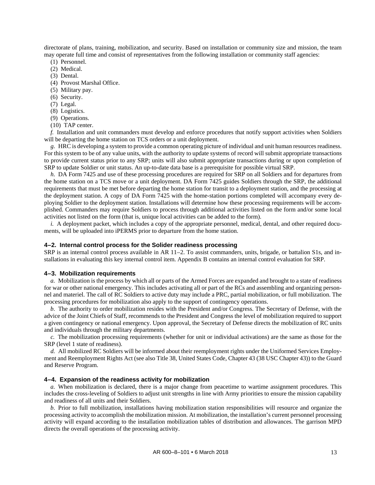directorate of plans, training, mobilization, and security. Based on installation or community size and mission, the team may operate full time and consist of representatives from the following installation or community staff agencies:

- (1) Personnel.
- (2) Medical.
- (3) Dental.
- (4) Provost Marshal Office.
- (5) Military pay.
- (6) Security.
- (7) Legal.
- (8) Logistics.
- (9) Operations.
- (10) TAP center.

<span id="page-16-3"></span>*f.* Installation and unit commanders must develop and enforce procedures that notify support activities when Soldiers will be departing the home station on TCS orders or a unit deployment.

*g.* HRC is developing a system to provide a common operating picture of individual and unit human resources readiness. For this system to be of any value units, with the authority to update systems of record will submit appropriate transactions to provide current status prior to any SRP; units will also submit appropriate transactions during or upon completion of SRP to update Soldier or unit status. An up-to-date data base is a prerequisite for possible virtual SRP.

*h.* DA Form 7425 and use of these processing procedures are required for SRP on all Soldiers and for departures from the home station on a TCS move or a unit deployment. DA Form 7425 guides Soldiers through the SRP, the additional requirements that must be met before departing the home station for transit to a deployment station, and the processing at the deployment station. A copy of DA Form 7425 with the home-station portions completed will accompany every deploying Soldier to the deployment station. Installations will determine how these processing requirements will be accomplished. Commanders may require Soldiers to process through additional activities listed on the form and/or some local activities not listed on the form (that is, unique local activities can be added to the form).

<span id="page-16-4"></span>*i.* A deployment packet, which includes a copy of the appropriate personnel, medical, dental, and other required documents, will be uploaded into iPERMS prior to departure from the home station.

#### <span id="page-16-0"></span>**4–2. Internal control process for the Solider readiness processing**

SRP is an internal control process available in AR 11–2. To assist commanders, units, brigade, or battalion S1s, and installations in evaluating this key internal control item. [Appendix B](#page-28-0) contains an internal control evaluation for SRP.

#### <span id="page-16-1"></span>**4–3. Mobilization requirements**

*a.* Mobilization is the process by which all or parts of the Armed Forces are expanded and brought to a state of readiness for war or other national emergency. This includes activating all or part of the RCs and assembling and organizing personnel and materiel. The call of RC Soldiers to active duty may include a PRC, partial mobilization, or full mobilization. The processing procedures for mobilization also apply to the support of contingency operations.

*b.* The authority to order mobilization resides with the President and/or Congress. The Secretary of Defense, with the advice of the Joint Chiefs of Staff, recommends to the President and Congress the level of mobilization required to support a given contingency or national emergency. Upon approval, the Secretary of Defense directs the mobilization of RC units and individuals through the military departments.

*c.* The mobilization processing requirements (whether for unit or individual activations) are the same as those for the SRP (level 1 state of readiness).

*d.* All mobilized RC Soldiers will be informed about their reemployment rights under the Uniformed Services Employment and Reemployment Rights Act (see also Title 38, United States Code, Chapter 43 (38 USC Chapter 43)) to the Guard and Reserve Program.

#### <span id="page-16-2"></span>**4–4. Expansion of the readiness activity for mobilization**

*a.* When mobilization is declared, there is a major change from peacetime to wartime assignment procedures. This includes the cross-leveling of Soldiers to adjust unit strengths in line with Army priorities to ensure the mission capability and readiness of all units and their Soldiers.

*b.* Prior to full mobilization, installations having mobilization station responsibilities will resource and organize the processing activity to accomplish the mobilization mission. At mobilization, the installation's current personnel processing activity will expand according to the installation mobilization tables of distribution and allowances. The garrison MPD directs the overall operations of the processing activity.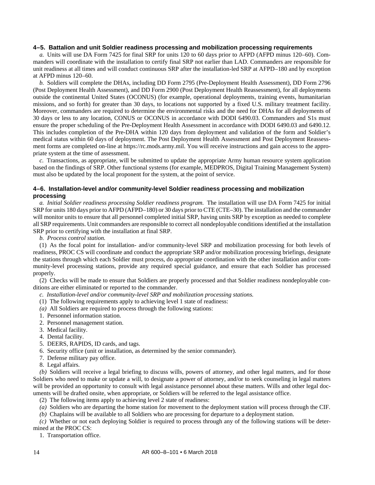#### <span id="page-17-0"></span>**4–5. Battalion and unit Soldier readiness processing and mobilization processing requirements**

<span id="page-17-2"></span>*a.* Units will use DA Form 7425 for final SRP for units 120 to 60 days prior to AFPD (AFPD minus 120–60). Commanders will coordinate with the installation to certify final SRP not earlier than LAD. Commanders are responsible for unit readiness at all times and will conduct continuous SRP after the installation-led SRP at AFPD–180 and by exception at AFPD minus 120–60.

*b.* Soldiers will complete the DHAs, including DD Form 2795 (Pre-Deployment Health Assessment), DD Form 2796 (Post Deployment Health Assessment), and DD Form 2900 (Post Deployment Health Reassessment), for all deployments outside the continental United States (OCONUS) (for example, operational deployments, training events, humanitarian missions, and so forth) for greater than 30 days, to locations not supported by a fixed U.S. military treatment facility. Moreover, commanders are required to determine the environmental risks and the need for DHAs for all deployments of 30 days or less to any location, CONUS or OCONUS in accordance with DODI 6490.03. Commanders and S1s must ensure the proper scheduling of the Pre-Deployment Health Assessment in accordance with DODI 6490.03 and 6490.12. This includes completion of the Pre-DHA within 120 days from deployment and validation of the form and Soldier's medical status within 60 days of deployment. The Post Deployment Health Assessment and Post Deployment Reassessment forms are completed on-line at [https://rc.mods.army.mil.](https://rc.mods.army.mil/) You will receive instructions and gain access to the appropriate system at the time of assessment.

*c.* Transactions, as appropriate, will be submitted to update the appropriate Army human resource system application based on the findings of SRP. Other functional systems (for example, MEDPROS, Digital Training Management System) must also be updated by the local proponent for the system, at the point of service.

#### <span id="page-17-1"></span>**4–6. Installation-level and/or community-level Soldier readiness processing and mobilization processing**

<span id="page-17-3"></span>*a. Initial Soldier readiness processing Soldier readiness program.* The installation will use DA Form 7425 for initial SRP for units 180 days prior to AFPD (AFPD–180) or 30 days prior to CTE (CTE–30). The installation and the commander will monitor units to ensure that all personnel completed initial SRP, having units SRP by exception as needed to complete all SRP requirements. Unit commanders are responsible to correct all nondeployable conditions identified at the installation SRP prior to certifying with the installation at final SRP.

*b. Process control station.*

(1) As the focal point for installation- and/or community-level SRP and mobilization processing for both levels of readiness, PROC CS will coordinate and conduct the appropriate SRP and/or mobilization processing briefings, designate the stations through which each Soldier must process, do appropriate coordination with the other installation and/or community-level processing stations, provide any required special guidance, and ensure that each Soldier has processed properly.

(2) Checks will be made to ensure that Soldiers are properly processed and that Soldier readiness nondeployable conditions are either eliminated or reported to the commander.

*c. Installation-level and/or community-level SRP and mobilization processing stations.*

- (1) The following requirements apply to achieving level 1 state of readiness:
- *(a)* All Soldiers are required to process through the following stations:
- 1. Personnel information station.
- 2. Personnel management station.
- 3. Medical facility.
- 4. Dental facility.
- 5. DEERS, RAPIDS, ID cards, and tags.
- 6. Security office (unit or installation, as determined by the senior commander).
- 7. Defense military pay office.
- 8. Legal affairs.

*(b)* Soldiers will receive a legal briefing to discuss wills, powers of attorney, and other legal matters, and for those Soldiers who need to make or update a will, to designate a power of attorney, and/or to seek counseling in legal matters will be provided an opportunity to consult with legal assistance personnel about these matters. Wills and other legal documents will be drafted onsite, when appropriate, or Soldiers will be referred to the legal assistance office.

(2) The following items apply to achieving level 2 state of readiness:

*(a)* Soldiers who are departing the home station for movement to the deployment station will process through the CIF.

*(b)* Chaplains will be available to all Soldiers who are processing for departure to a deployment station.

*(c)* Whether or not each deploying Soldier is required to process through any of the following stations will be determined at the PROC CS:

1. Transportation office.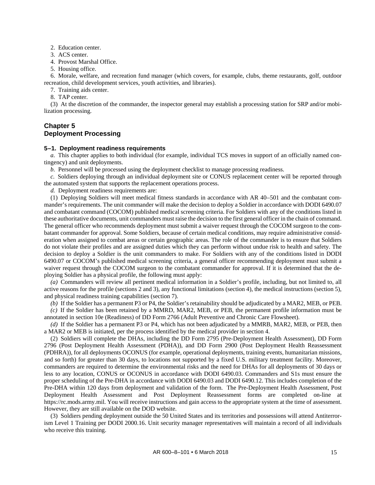2. Education center.

3. ACS center.

4. Provost Marshal Office.

5. Housing office.

6. Morale, welfare, and recreation fund manager (which covers, for example, clubs, theme restaurants, golf, outdoor recreation, child development services, youth activities, and libraries).

- 7. Training aids center.
- 8. TAP center.

(3) At the discretion of the commander, the inspector general may establish a processing station for SRP and/or mobilization processing.

#### <span id="page-18-0"></span>**Chapter 5 Deployment Processing**

#### <span id="page-18-1"></span>**5–1. Deployment readiness requirements**

*a.* This chapter applies to both individual (for example, individual TCS moves in support of an officially named contingency) and unit deployments.

*b.* Personnel will be processed using the deployment checklist to manage processing readiness.

*c.* Soldiers deploying through an individual deployment site or CONUS replacement center will be reported through the automated system that supports the replacement operations process.

*d.* Deployment readiness requirements are:

(1) Deploying Soldiers will meet medical fitness standards in accordance with AR 40–501 and the combatant commander's requirements. The unit commander will make the decision to deploy a Soldier in accordance with DODI 6490.07 and combatant command (COCOM) published medical screening criteria. For Soldiers with any of the conditions listed in these authoritative documents, unit commanders must raise the decision to the first general officer in the chain of command. The general officer who recommends deployment must submit a waiver request through the COCOM surgeon to the combatant commander for approval. Some Soldiers, because of certain medical conditions, may require administrative consideration when assigned to combat areas or certain geographic areas. The role of the commander is to ensure that Soldiers do not violate their profiles and are assigned duties which they can perform without undue risk to health and safety. The decision to deploy a Soldier is the unit commanders to make. For Soldiers with any of the conditions listed in DODI 6490.07 or COCOM's published medical screening criteria, a general officer recommending deployment must submit a waiver request through the COCOM surgeon to the combatant commander for approval. If it is determined that the deploying Soldier has a physical profile, the following must apply:

*(a)* Commanders will review all pertinent medical information in a Soldier's profile, including, but not limited to, all active reasons for the profile (sections 2 and 3), any functional limitations (section 4), the medical instructions (section 5), and physical readiness training capabilities (section 7).

*(b)* If the Soldier has a permanent P3 or P4, the Soldier's retainability should be adjudicated by a MAR2, MEB, or PEB.

*(c)* If the Soldier has been retained by a MMRD, MAR2, MEB, or PEB, the permanent profile information must be annotated in section 10e (Readiness) of DD Form 2766 (Adult Preventive and Chronic Care Flowsheet).

*(d)* If the Soldier has a permanent P3 or P4, which has not been adjudicated by a MMRB, MAR2, MEB, or PEB, then a MAR2 or MEB is initiated, per the process identified by the medical provider in section 4.

(2) Soldiers will complete the DHAs, including the DD Form 2795 (Pre-Deployment Health Assessment), DD Form 2796 (Post Deployment Health Assessment (PDHA)), and DD Form 2900 (Post Deployment Health Reassessment (PDHRA)), for all deployments OCONUS (for example, operational deployments, training events, humanitarian missions, and so forth) for greater than 30 days, to locations not supported by a fixed U.S. military treatment facility. Moreover, commanders are required to determine the environmental risks and the need for DHAs for all deployments of 30 days or less to any location, CONUS or OCONUS in accordance with DODI 6490.03. Commanders and S1s must ensure the proper scheduling of the Pre-DHA in accordance with DODI 6490.03 and DODI 6490.12. This includes completion of the Pre-DHA within 120 days from deployment and validation of the form. The Pre-Deployment Health Assessment, Post Deployment Health Assessment and Post Deployment Reassessment forms are completed on-line at [https://rc.mods.army.mil.](https://rc.mods.army.mil/) You will receive instructions and gain access to the appropriate system at the time of assessment. However, they are still available on the DOD website.

(3) Soldiers pending deployment outside the 50 United States and its territories and possessions will attend Antiterrorism Level 1 Training per DODI 2000.16. Unit security manager representatives will maintain a record of all individuals who receive this training.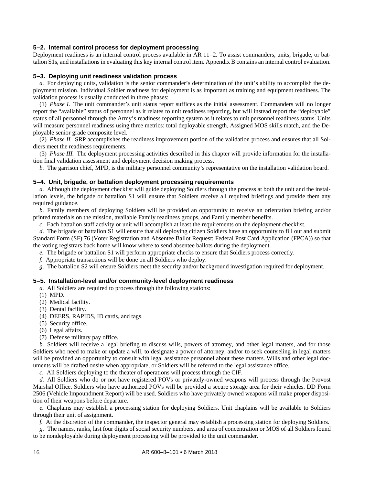#### <span id="page-19-0"></span>**5–2. Internal control process for deployment processing**

Deployment readiness is an internal control process available in AR 11–2. To assist commanders, units, brigade, or battalion S1s, and installations in evaluating this key internal control item. [Appendix B](#page-28-0) contains an internal control evaluation.

#### <span id="page-19-1"></span>**5–3. Deploying unit readiness validation process**

*a.* For deploying units, validation is the senior commander's determination of the unit's ability to accomplish the deployment mission. Individual Soldier readiness for deployment is as important as training and equipment readiness. The validation process is usually conducted in three phases:

(1) *Phase I.* The unit commander's unit status report suffices as the initial assessment. Commanders will no longer report the "available" status of personnel as it relates to unit readiness reporting, but will instead report the "deployable" status of all personnel through the Army's readiness reporting system as it relates to unit personnel readiness status. Units will measure personnel readiness using three metrics: total deployable strength, Assigned MOS skills match, and the Deployable senior grade composite level.

(2) *Phase II.* SRP accomplishes the readiness improvement portion of the validation process and ensures that all Soldiers meet the readiness requirements.

(3) *Phase III.* The deployment processing activities described in this chapter will provide information for the installation final validation assessment and deployment decision making process.

*b.* The garrison chief, MPD, is the military personnel community's representative on the installation validation board.

#### <span id="page-19-2"></span>**5–4. Unit, brigade, or battalion deployment processing requirements**

*a.* Although the deployment checklist will guide deploying Soldiers through the process at both the unit and the installation levels, the brigade or battalion S1 will ensure that Soldiers receive all required briefings and provide them any required guidance.

*b.* Family members of deploying Soldiers will be provided an opportunity to receive an orientation briefing and/or printed materials on the mission, available Family readiness groups, and Family member benefits.

*c.* Each battalion staff activity or unit will accomplish at least the requirements on the deployment checklist.

*d.* The brigade or battalion S1 will ensure that all deploying citizen Soldiers have an opportunity to fill out and submit Standard Form (SF) 76 (Voter Registration and Absentee Ballot Request: Federal Post Card Application (FPCA)) so that the voting registrars back home will know where to send absentee ballots during the deployment.

- *e.* The brigade or battalion S1 will perform appropriate checks to ensure that Soldiers process correctly.
- *f.* Appropriate transactions will be done on all Soldiers who deploy.

*g.* The battalion S2 will ensure Soldiers meet the security and/or background investigation required for deployment.

#### <span id="page-19-3"></span>**5–5. Installation-level and/or community-level deployment readiness**

*a.* All Soldiers are required to process through the following stations:

- (1) MPD.
- (2) Medical facility.
- (3) Dental facility.
- (4) DEERS, RAPIDS, ID cards, and tags.
- (5) Security office.
- (6) Legal affairs.
- (7) Defense military pay office.

*b.* Soldiers will receive a legal briefing to discuss wills, powers of attorney, and other legal matters, and for those Soldiers who need to make or update a will, to designate a power of attorney, and/or to seek counseling in legal matters will be provided an opportunity to consult with legal assistance personnel about these matters. Wills and other legal documents will be drafted onsite when appropriate, or Soldiers will be referred to the legal assistance office.

*c.* All Soldiers deploying to the theater of operations will process through the CIF.

*d.* All Soldiers who do or not have registered POVs or privately-owned weapons will process through the Provost Marshal Office. Soldiers who have authorized POVs will be provided a secure storage area for their vehicles. DD Form 2506 (Vehicle Impoundment Report) will be used. Soldiers who have privately owned weapons will make proper disposition of their weapons before departure.

*e.* Chaplains may establish a processing station for deploying Soldiers. Unit chaplains will be available to Soldiers through their unit of assignment.

*f.* At the discretion of the commander, the inspector general may establish a processing station for deploying Soldiers.

*g.* The names, ranks, last four digits of social security numbers, and area of concentration or MOS of all Soldiers found to be nondeployable during deployment processing will be provided to the unit commander.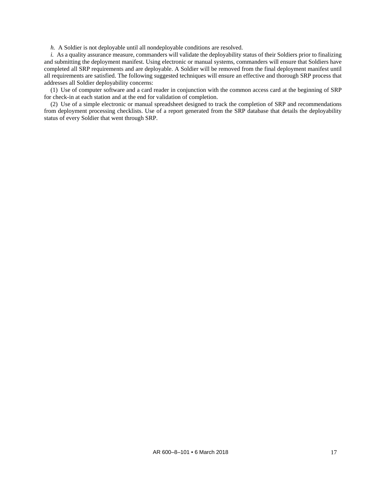*h.* A Soldier is not deployable until all nondeployable conditions are resolved.

*i.* As a quality assurance measure, commanders will validate the deployability status of their Soldiers prior to finalizing and submitting the deployment manifest. Using electronic or manual systems, commanders will ensure that Soldiers have completed all SRP requirements and are deployable. A Soldier will be removed from the final deployment manifest until all requirements are satisfied. The following suggested techniques will ensure an effective and thorough SRP process that addresses all Soldier deployability concerns:

(1) Use of computer software and a card reader in conjunction with the common access card at the beginning of SRP for check-in at each station and at the end for validation of completion.

(2) Use of a simple electronic or manual spreadsheet designed to track the completion of SRP and recommendations from deployment processing checklists. Use of a report generated from the SRP database that details the deployability status of every Soldier that went through SRP.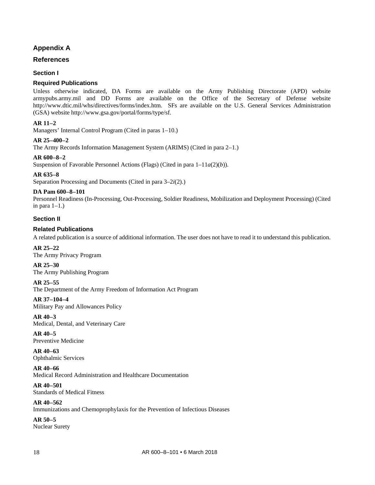#### **Appendix A**

#### <span id="page-21-0"></span>**References**

#### **Section I**

#### **Required Publications**

Unless otherwise indicated, DA Forms are available on the Army Publishing Directorate (APD) website armypubs.army.mil and DD Forms are available on the Office of the Secretary of Defense website [http://www.dtic.mil/whs/directives/forms/index.htm.](http://www.dtic.mil/whs/directives/forms/index.htm) SFs are available on the U.S. General Services Administration (GSA) website [http://www.gsa.gov/portal/forms/type/sf.](http://www.gsa.gov/portal/forms/type/sf)

#### **AR 11–2**

Managers' Internal Control Program (Cited i[n paras 1–10.](#page-8-1))

#### **AR 25–400–2**

The Army Records Information Management System (ARIMS) (Cited i[n para 2–1.](#page-9-1))

#### **AR 600–8–2**

Suspension of Favorable Personnel Actions (Flags) (Cited in para 1–11*a*(2)(*b*)).

#### **AR 635–8**

Separation Processing and Documents (Cited in [para 3–2](#page-12-2)*i*(2).)

#### **DA Pam 600–8–101**

Personnel Readiness (In-Processing, Out-Processing, Soldier Readiness, Mobilization and Deployment Processing) (Cited in para  $1-1$ .)

#### **Section II**

#### **Related Publications**

A related publication is a source of additional information. The user does not have to read it to understand this publication.

#### **AR 25–22**

The Army Privacy Program

#### **AR 25–30**

The Army Publishing Program

#### **AR 25–55**

The Department of the Army Freedom of Information Act Program

#### **AR 37–104–4**

Military Pay and Allowances Policy

#### **AR 40–3**

Medical, Dental, and Veterinary Care

#### **AR 40–5** Preventive Medicine

**AR 40–63** Ophthalmic Services

#### **AR 40–66**

Medical Record Administration and Healthcare Documentation

#### **AR 40–501** Standards of Medical Fitness

**AR 40–562** Immunizations and Chemoprophylaxis for the Prevention of Infectious Diseases

#### **AR 50–5** Nuclear Surety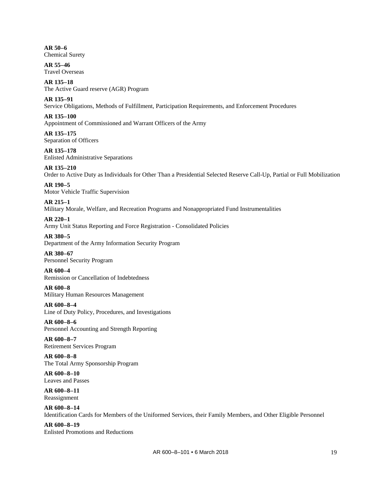**AR 50–6** Chemical Surety

**AR 55–46** Travel Overseas

**AR 135–18** The Active Guard reserve (AGR) Program

**AR 135–91** Service Obligations, Methods of Fulfillment, Participation Requirements, and Enforcement Procedures

**AR 135–100** Appointment of Commissioned and Warrant Officers of the Army

**AR 135–175** Separation of Officers

**AR 135–178** Enlisted Administrative Separations

**AR 135–210** Order to Active Duty as Individuals for Other Than a Presidential Selected Reserve Call-Up, Partial or Full Mobilization

**AR 190–5** Motor Vehicle Traffic Supervision

**AR 215–1** Military Morale, Welfare, and Recreation Programs and Nonappropriated Fund Instrumentalities

**AR 220–1** Army Unit Status Reporting and Force Registration - Consolidated Policies

**AR 380–5** Department of the Army Information Security Program **AR 380–67**

Personnel Security Program **AR 600–4**

Remission or Cancellation of Indebtedness

**AR 600–8** Military Human Resources Management

**AR 600–8–4** Line of Duty Policy, Procedures, and Investigations

**AR 600–8–6** Personnel Accounting and Strength Reporting

**AR 600–8–7** Retirement Services Program

**AR 600–8–8** The Total Army Sponsorship Program

**AR 600–8–10** Leaves and Passes

**AR 600–8–11** Reassignment

**AR 600–8–14** Identification Cards for Members of the Uniformed Services, their Family Members, and Other Eligible Personnel

**AR 600–8–19** Enlisted Promotions and Reductions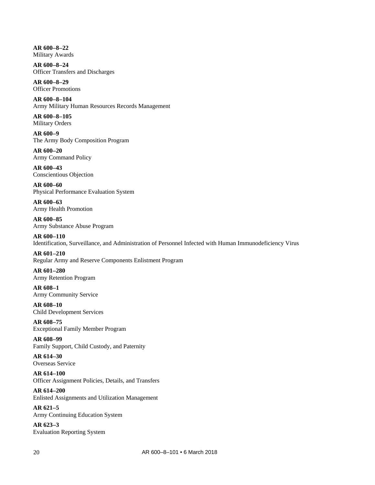**AR 600–8–22** Military Awards

**AR 600–8–24** Officer Transfers and Discharges

**AR 600–8–29** Officer Promotions

**AR 600–8–104** Army Military Human Resources Records Management

**AR 600–8–105** Military Orders

**AR 600–9** The Army Body Composition Program

**AR 600–20** Army Command Policy

**AR 600–43** Conscientious Objection

**AR 600–60** Physical Performance Evaluation System

**AR 600–63** Army Health Promotion

**AR 600–85** Army Substance Abuse Program

**AR 600–110** Identification, Surveillance, and Administration of Personnel Infected with Human Immunodeficiency Virus

**AR 601–210** Regular Army and Reserve Components Enlistment Program

**AR 601–280** Army Retention Program

**AR 608–1** Army Community Service

**AR 608–10** Child Development Services

**AR 608–75** Exceptional Family Member Program

**AR 608–99** Family Support, Child Custody, and Paternity

**AR 614–30** Overseas Service

**AR 614–100** Officer Assignment Policies, Details, and Transfers

**AR 614–200** Enlisted Assignments and Utilization Management

**AR 621–5** Army Continuing Education System

**AR 623–3** Evaluation Reporting System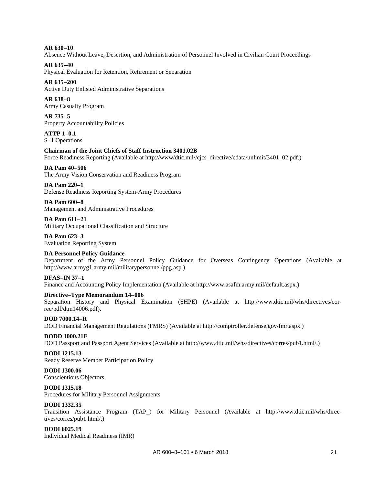**AR 630–10** Absence Without Leave, Desertion, and Administration of Personnel Involved in Civilian Court Proceedings

**AR 635–40** Physical Evaluation for Retention, Retirement or Separation

**AR 635–200** Active Duty Enlisted Administrative Separations

**AR 638–8** Army Casualty Program

**AR 735–5** Property Accountability Policies

**ATTP 1–0.1** S–1 Operations

#### **Chairman of the Joint Chiefs of Staff Instruction 3401.02B**

Force Readiness Reporting (Available at [http://www/dtic.mil//cjcs\\_directive/cdata/unlimit/3401\\_02.pdf.](http://www/dtic.mil/cjcs_directive/cdata/unlimit/3401_02.pdf))

**DA Pam 40–506**

The Army Vision Conservation and Readiness Program **DA Pam 220–1**

Defense Readiness Reporting System-Army Procedures

**DA Pam 600–8** Management and Administrative Procedures

**DA Pam 611–21** Military Occupational Classification and Structure

**DA Pam 623–3** Evaluation Reporting System

#### **DA Personnel Policy Guidance**

Department of the Army Personnel Policy Guidance for Overseas Contingency Operations (Available at [http://www.armyg1.army.mil/militarypersonnel/ppg.asp.\)](http://www.armyg1.army.mil/militarypersonnel/ppg.asp)

#### **DFAS–IN 37–1**

Finance and Accounting Policy Implementation (Available a[t http://www.asafm.army.mil/default.aspx.](http://www.asafm.army.mil/default.aspx))

#### **Directive–Type Memorandum 14–006**

Separation History and Physical Examination (SHPE) (Available at [http://www.dtic.mil/whs/directives/cor](http://www.dtic.mil/whs/directives/correc/pdf/dtm14006.pdf)[rec/pdf/dtm14006.pdf\)](http://www.dtic.mil/whs/directives/correc/pdf/dtm14006.pdf).

**DOD 7000.14–R** DOD Financial Management Regulations (FMRS) (Available at [http://comptroller.defense.gov/fmr.aspx.](http://comptroller.defense.gov/fmr.aspx))

#### **DODD 1000.21E**

DOD Passport and Passport Agent Services (Available a[t http://www.dtic.mil/whs/directives/corres/pub1.html/.](http://www.dtic.mil/whs/directives/corres/pub1.html/))

#### **DODI 1215.13**

Ready Reserve Member Participation Policy

**DODI 1300.06** Conscientious Objectors

#### **DODI 1315.18**

Procedures for Military Personnel Assignments

#### **DODI 1332.35**

Transition Assistance Program (TAP\_) for Military Personnel (Available at [http://www.dtic.mil/whs/direc](http://www.dtic.mil/whs/directives/corres/pub1.html/)[tives/corres/pub1.html/.\)](http://www.dtic.mil/whs/directives/corres/pub1.html/)

#### **DODI 6025.19**

Individual Medical Readiness (IMR)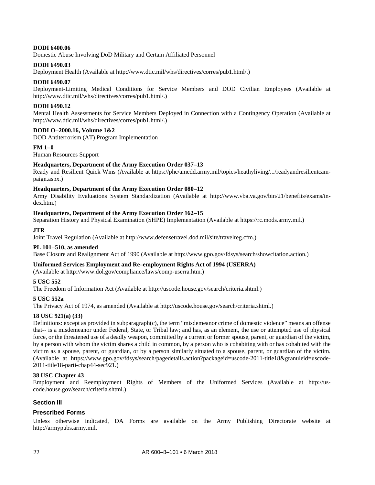#### **DODI 6400.06**

Domestic Abuse Involving DoD Military and Certain Affiliated Personnel

#### **DODI 6490.03**

Deployment Health (Available a[t http://www.dtic.mil/whs/directives/corres/pub1.html/.\)](http://www.dtic.mil/whs/directives/corres/pub1.html/)

#### **DODI 6490.07**

Deployment-Limiting Medical Conditions for Service Members and DOD Civilian Employees (Available at [http://www.dtic.mil/whs/directives/corres/pub1.html/.](http://www.dtic.mil/whs/directives/corres/pub1.html/))

#### **DODI 6490.12**

Mental Health Assessments for Service Members Deployed in Connection with a Contingency Operation (Available at [http://www.dtic.mil/whs/directives/corres/pub1.html/.](http://www.dtic.mil/whs/directives/corres/pub1.html/))

#### **DODI O–2000.16, Volume 1&2**

DOD Antiterrorism (AT) Program Implementation

#### **FM 1–0**

Human Resources Support

#### **Headquarters, Department of the Army Execution Order 037–13**

Ready and Resilient Quick Wins (Available at [https://phc/amedd.army.mil/topics/heathyliving/.../readyandresilientcam](https://phc/amedd.army.mil/topics/heathyliving/.../readyandresilientcampaign.aspx)[paign.aspx.](https://phc/amedd.army.mil/topics/heathyliving/.../readyandresilientcampaign.aspx))

#### **Headquarters, Department of the Army Execution Order 080–12**

Army Disability Evaluations System Standardization (Available at [http://www.vba.va.gov/bin/21/benefits/exams/in](http://www.vba.va.gov/bin/21/benefits/exams/index.htm)[dex.htm.\)](http://www.vba.va.gov/bin/21/benefits/exams/index.htm)

#### **Headquarters, Department of the Army Execution Order 162–15**

Separation History and Physical Examination (SHPE) Implementation (Available a[t https://rc.mods.army.mil.](https://rc.mods.army.mil/))

#### **JTR**

Joint Travel Regulation (Available at [http://www.defensetravel.dod.mil/site/travelreg.cfm.](http://www.defensetravel.dod.mil/site/travelreg.cfm))

#### **PL 101–510, as amended**

Base Closure and Realignment Act of 1990 (Available at [http://www.gpo.gov/fdsys/search/showcitation.action.\)](http://www.gpo.gov/fdsys/search/showcitation.action)

#### **Uniformed Services Employment and Re–employment Rights Act of 1994 (USERRA)**

(Available at [http://www.dol.gov/compliance/laws/comp-userra.htm.\)](http://www.dol.gov/compliance/laws/comp-userra.htm)

#### **5 USC 552**

The Freedom of Information Act (Available a[t http://uscode.house.gov/search/criteria.shtml.](http://uscode.house.gov/search/criteria.shtml))

#### **5 USC 552a**

The Privacy Act of 1974, as amended (Available a[t http://uscode.house.gov/search/criteria.shtml.](http://uscode.house.gov/search/criteria.shtml))

#### **18 USC 921(a) (33)**

Definitions: except as provided in subparagraph(c), the term "misdemeanor crime of domestic violence" means an offense that-- is a misdemeanor under Federal, State, or Tribal law; and has, as an element, the use or attempted use of physical force, or the threatened use of a deadly weapon, committed by a current or former spouse, parent, or guardian of the victim, by a person with whom the victim shares a child in common, by a person who is cohabiting with or has cohabited with the victim as a spouse, parent, or guardian, or by a person similarly situated to a spouse, parent, or guardian of the victim. (Available at [https://www.gpo.gov/fdsys/search/pagedetails.action?packageid=uscode-2011-title18&granuleid=uscode-](https://www.gpo.gov/fdsys/search/pagedetails.action?packageid=uscode-2011-title18&granuleid=uscode-2011-title18-parti-chap44-sec921)[2011-title18-parti-chap44-sec921.](https://www.gpo.gov/fdsys/search/pagedetails.action?packageid=uscode-2011-title18&granuleid=uscode-2011-title18-parti-chap44-sec921))

#### **38 USC Chapter 43**

Employment and Reemployment Rights of Members of the Uniformed Services (Available at [http://us](http://uscode.house.gov/search/criteria.shtml)[code.house.gov/search/criteria.shtml.\)](http://uscode.house.gov/search/criteria.shtml)

#### **Section III**

#### **Prescribed Forms**

Unless otherwise indicated, DA Forms are available on the Army Publishing Directorate website at [http://armypubs.army.mil.](http://armypubs.army.mil/)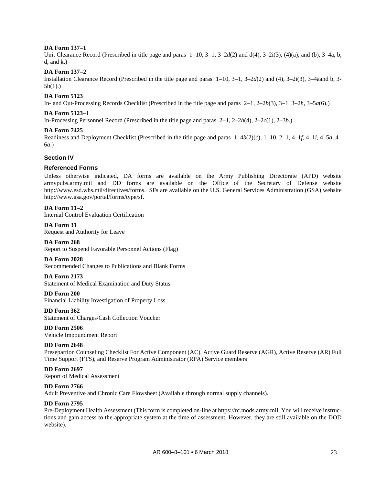#### **DA Form 137–1**

Unit Clearance Record (Prescribed in title page and paras [1–10,](#page-8-1) [3–1,](#page-10-2) [3–2](#page-11-1)*d*(2) and d(4), 3–2i(3), (4)(a), and (b), 3–4a, b, d, and  $k$ .)

#### **DA Form 137–2**

Installation Clearance Record (Prescribed in the title page and paras [1–10,](#page-8-1) [3–1,](#page-10-2) [3–2](#page-11-1)*d*(2) and (4), 3–2i(3), 3–4aand b, 3- 5b(1).)

#### **DA Form 5123**

In- and Out-Processing Records Checklist (Prescribed in the title page and paras [2–1,](#page-9-1) [2–2](#page-10-3)*b*(3), [3–1,](#page-10-2) [3–2](#page-11-2)*h*, [3–5](#page-14-2)*a*(6).)

#### **DA Form 5123–1**

In-Processing Personnel Record (Prescribed in the title page and paras [2–1,](#page-9-1) [2–2](#page-10-4)*b*(4), [2–2](#page-10-5)*c*(1)[, 2–3](#page-10-6)*b*.)

#### **DA Form 7425**

Readiness and Deployment Checklist (Prescribed in the title page and paras [1–4](#page-4-5)*b*(2)(*c*), [1–10,](#page-8-1) [2–1,](#page-9-1) [4–1](#page-16-3)*f*, [4–1](#page-16-4)*i*, [4–5](#page-17-2)*a*, [4–](#page-17-3) [6](#page-17-3)*a*.)

#### **Section IV**

#### **Referenced Forms**

Unless otherwise indicated, DA forms are available on the Army Publishing Directorate (APD) website armypubs.army.mil and DD forms are available on the Office of the Secretary of Defense website [http://www.esd.whs.mil/directives/forms.](http://www.esd.whs.mil/directives/forms) SFs are available on the U.S. General Services Administration (GSA) website [http://www.gsa.gov/portal/forms/type/sf.](http://www.gsa.gov/portal/forms/type/sf)

#### **DA Form 11–2**

Internal Control Evaluation Certification

**DA Form 31** Request and Authority for Leave

#### **DA Form 268**

Report to Suspend Favorable Personnel Actions (Flag)

#### **DA Form 2028**

Recommended Changes to Publications and Blank Forms

#### **DA Form 2173**

Statement of Medical Examination and Duty Status

#### **DD Form 200**

Financial Liability Investigation of Property Loss

#### **DD Form 362** Statement of Charges/Cash Collection Voucher

**DD Form 2506** Vehicle Impoundment Report

#### **DD Form 2648**

Presepartion Counseling Checklist For Active Component (AC), Active Guard Reserve (AGR), Active Reserve (AR) Full Time Support (FTS), and Reserve Program Administrator (RPA) Service members

#### **DD Form 2697** Report of Medical Assessment

#### **DD Form 2766**

Adult Preventive and Chronic Care Flowsheet (Available through normal supply channels).

#### **DD Form 2795**

Pre-Deployment Health Assessment (This form is completed on-line at [https://rc.mods.army.mil.](https://rc.mods.army.mil/) You will receive instructions and gain access to the appropriate system at the time of assessment. However, they are still available on the DOD website).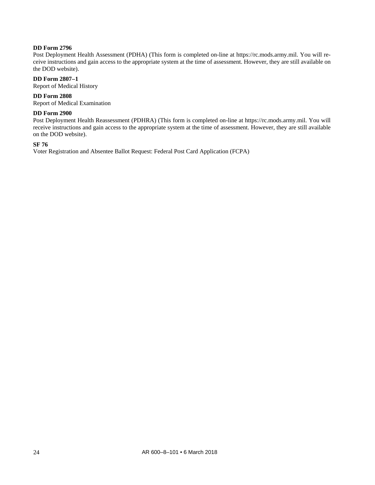#### **DD Form 2796**

Post Deployment Health Assessment (PDHA) (This form is completed on-line at [https://rc.mods.army.mil.](https://rc.mods.army.mil/) You will receive instructions and gain access to the appropriate system at the time of assessment. However, they are still available on the DOD website).

#### **DD Form 2807–1**

Report of Medical History

#### **DD Form 2808**

Report of Medical Examination

#### **DD Form 2900**

Post Deployment Health Reassessment (PDHRA) (This form is completed on-line at [https://rc.mods.army.mil.](https://rc.mods.army.mil/) You will receive instructions and gain access to the appropriate system at the time of assessment. However, they are still available on the DOD website).

#### **SF 76**

Voter Registration and Absentee Ballot Request: Federal Post Card Application (FCPA)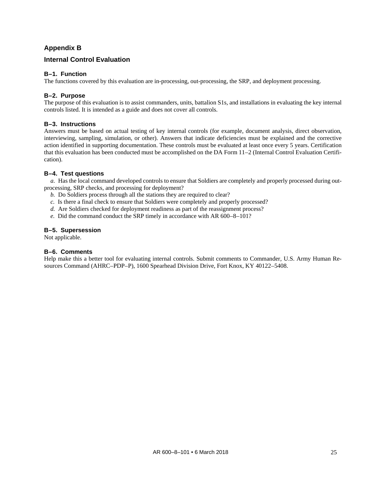#### **Appendix B**

#### <span id="page-28-0"></span>**Internal Control Evaluation**

#### **B–1. Function**

The functions covered by this evaluation are in-processing, out-processing, the SRP, and deployment processing.

#### **B–2. Purpose**

The purpose of this evaluation is to assist commanders, units, battalion S1s, and installations in evaluating the key internal controls listed. It is intended as a guide and does not cover all controls.

#### **B–3. Instructions**

Answers must be based on actual testing of key internal controls (for example, document analysis, direct observation, interviewing, sampling, simulation, or other). Answers that indicate deficiencies must be explained and the corrective action identified in supporting documentation. These controls must be evaluated at least once every 5 years. Certification that this evaluation has been conducted must be accomplished on the DA Form 11–2 (Internal Control Evaluation Certification).

#### **B–4. Test questions**

*a.* Has the local command developed controls to ensure that Soldiers are completely and properly processed during outprocessing, SRP checks, and processing for deployment?

- *b.* Do Soldiers process through all the stations they are required to clear?
- *c.* Is there a final check to ensure that Soldiers were completely and properly processed?
- *d.* Are Soldiers checked for deployment readiness as part of the reassignment process?
- *e.* Did the command conduct the SRP timely in accordance with AR 600–8–101?

#### **B–5. Supersession**

Not applicable.

#### **B–6. Comments**

Help make this a better tool for evaluating internal controls. Submit comments to Commander, U.S. Army Human Resources Command (AHRC–PDP–P), 1600 Spearhead Division Drive, Fort Knox, KY 40122–5408.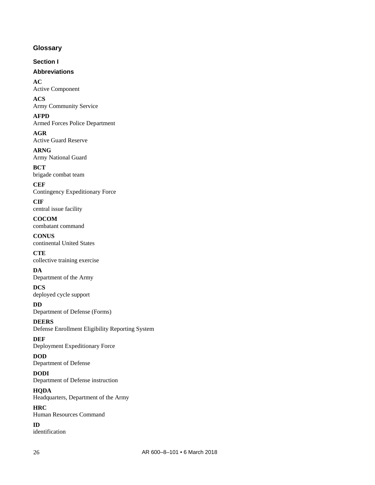#### <span id="page-29-0"></span>**Glossary**

**Section I**

#### **Abbreviations**

**AC** Active Component

**ACS** Army Community Service

**AFPD** Armed Forces Police Department

**AGR** Active Guard Reserve

**ARNG** Army National Guard

**BCT** brigade combat team

**CEF** Contingency Expeditionary Force

**CIF** central issue facility

**COCOM** combatant command

**CONUS** continental United States

**CTE** collective training exercise

**DA** Department of the Army

**DCS** deployed cycle support

**DD** Department of Defense (Forms)

**DEERS** Defense Enrollment Eligibility Reporting System

**DEF**

Deployment Expeditionary Force **DOD**

Department of Defense

**DODI** Department of Defense instruction

**HQDA** Headquarters, Department of the Army

**HRC** Human Resources Command

**ID** identification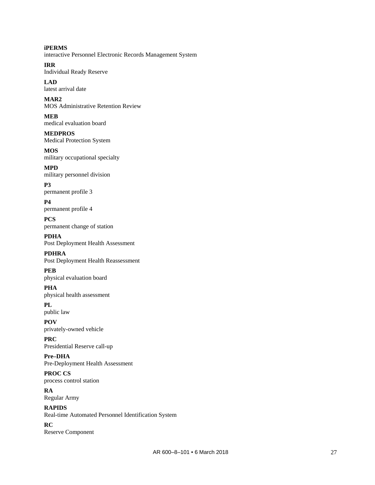**iPERMS** interactive Personnel Electronic Records Management System

**IRR** Individual Ready Reserve

**LAD** latest arrival date

**MAR2** MOS Administrative Retention Review

**MEB** medical evaluation board

**MEDPROS** Medical Protection System **MOS**

military occupational specialty

**MPD** military personnel division

**P3** permanent profile 3

**P4** permanent profile 4

**PCS** permanent change of station

**PDHA** Post Deployment Health Assessment

**PDHRA** Post Deployment Health Reassessment **PEB**

physical evaluation board

**PHA** physical health assessment

**PL** public law

**POV** privately-owned vehicle

**PRC** Presidential Reserve call-up

**Pre–DHA** Pre-Deployment Health Assessment

**PROC CS** process control station

**RA** Regular Army

**RAPIDS** Real-time Automated Personnel Identification System

**RC** Reserve Component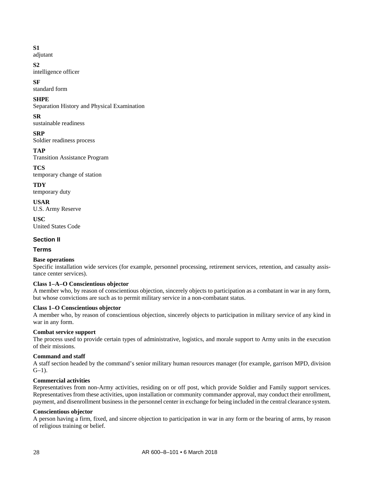#### **S1**

adjutant

#### **S2**

intelligence officer

#### **SF**

standard form

#### **SHPE**

Separation History and Physical Examination

#### **SR**

sustainable readiness

#### **SRP**

Soldier readiness process

#### **TAP**

Transition Assistance Program

#### **TCS**

temporary change of station

#### **TDY**

temporary duty

**USAR** U.S. Army Reserve

**USC** United States Code

#### **Section II**

**Terms**

#### **Base operations**

Specific installation wide services (for example, personnel processing, retirement services, retention, and casualty assistance center services).

#### **Class 1–A–O Conscientious objector**

A member who, by reason of conscientious objection, sincerely objects to participation as a combatant in war in any form, but whose convictions are such as to permit military service in a non-combatant status.

#### **Class 1–O Conscientious objector**

A member who, by reason of conscientious objection, sincerely objects to participation in military service of any kind in war in any form.

#### **Combat service support**

The process used to provide certain types of administrative, logistics, and morale support to Army units in the execution of their missions.

#### **Command and staff**

A staff section headed by the command's senior military human resources manager (for example, garrison MPD, division  $G-1$ ).

#### **Commercial activities**

Representatives from non-Army activities, residing on or off post, which provide Soldier and Family support services. Representatives from these activities, upon installation or community commander approval, may conduct their enrollment, payment, and disenrollment business in the personnel center in exchange for being included in the central clearance system.

#### **Conscientious objector**

A person having a firm, fixed, and sincere objection to participation in war in any form or the bearing of arms, by reason of religious training or belief.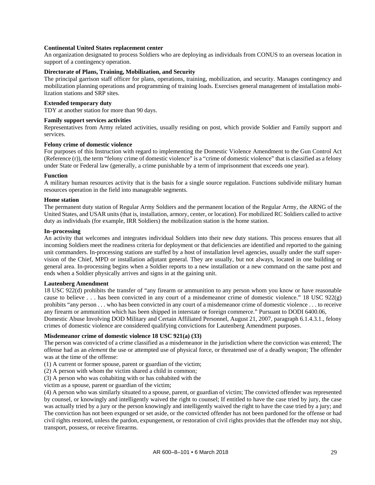#### **Continental United States replacement center**

An organization designated to process Soldiers who are deploying as individuals from CONUS to an overseas location in support of a contingency operation.

#### **Directorate of Plans, Training, Mobilization, and Security**

The principal garrison staff officer for plans, operations, training, mobilization, and security. Manages contingency and mobilization planning operations and programming of training loads. Exercises general management of installation mobilization stations and SRP sites.

#### **Extended temporary duty**

TDY at another station for more than 90 days.

#### **Family support services activities**

Representatives from Army related activities, usually residing on post, which provide Soldier and Family support and services.

#### **Felony crime of domestic violence**

For purposes of this Instruction with regard to implementing the Domestic Violence Amendment to the Gun Control Act (Reference (r)), the term "felony crime of domestic violence" is a "crime of domestic violence" that is classified as a felony under State or Federal law (generally, a crime punishable by a term of imprisonment that exceeds one year).

#### **Function**

A military human resources activity that is the basis for a single source regulation. Functions subdivide military human resources operation in the field into manageable segments.

#### **Home station**

The permanent duty station of Regular Army Soldiers and the permanent location of the Regular Army, the ARNG of the United States, and USAR units (that is, installation, armory, center, or location). For mobilized RC Soldiers called to active duty as individuals (for example, IRR Soldiers) the mobilization station is the home station.

#### **In–processing**

An activity that welcomes and integrates individual Soldiers into their new duty stations. This process ensures that all incoming Soldiers meet the readiness criteria for deployment or that deficiencies are identified and reported to the gaining unit commanders. In-processing stations are staffed by a host of installation level agencies, usually under the staff supervision of the Chief, MPD or installation adjutant general. They are usually, but not always, located in one building or general area. In-processing begins when a Soldier reports to a new installation or a new command on the same post and ends when a Soldier physically arrives and signs in at the gaining unit.

#### **Lautenberg Amendment**

18 USC 922(d) prohibits the transfer of "any firearm or ammunition to any person whom you know or have reasonable cause to believe . . . has been convicted in any court of a misdemeanor crime of domestic violence." 18 USC 922(g) prohibits "any person . . . who has been convicted in any court of a misdemeanor crime of domestic violence . . . to receive any firearm or ammunition which has been shipped in interstate or foreign commerce." Pursuant to DODI 6400.06,

Domestic Abuse Involving DOD Military and Certain Affiliated Personnel, August 21, 2007, paragraph 6.1.4.3.1., felony crimes of domestic violence are considered qualifying convictions for Lautenberg Amendment purposes.

#### **Misdemeanor crime of domestic violence 18 USC 921(a) (33)**

The person was convicted of a crime classified as a misdemeanor in the jurisdiction where the conviction was entered; The offense had as an *element* the use or attempted use of physical force, or threatened use of a deadly weapon; The offender was at the time of the offense:

(1) A current or former spouse, parent or guardian of the victim;

(2) A person with whom the victim shared a child in common;

(3) A person who was cohabiting with or has cohabited with the

victim as a spouse, parent or guardian of the victim;

(4) A person who was similarly situated to a spouse, parent, or guardian of victim; The convicted offender was represented by counsel, or knowingly and intelligently waived the right to counsel; If entitled to have the case tried by jury, the case was actually tried by a jury or the person knowingly and intelligently waived the right to have the case tried by a jury; and The conviction has not been expunged or set aside, or the convicted offender has not been pardoned for the offense or had civil rights restored, unless the pardon, expungement, or restoration of civil rights provides that the offender may not ship, transport, possess, or receive firearms.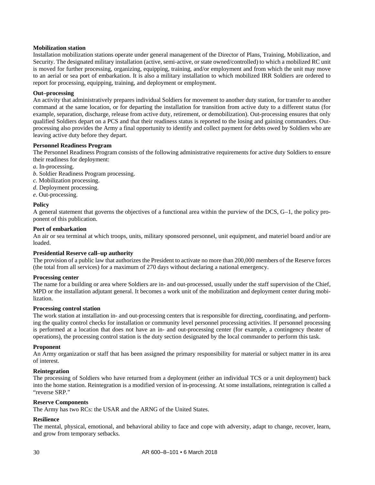#### **Mobilization station**

Installation mobilization stations operate under general management of the Director of Plans, Training, Mobilization, and Security. The designated military installation (active, semi-active, or state owned/controlled) to which a mobilized RC unit is moved for further processing, organizing, equipping, training, and/or employment and from which the unit may move to an aerial or sea port of embarkation. It is also a military installation to which mobilized IRR Soldiers are ordered to report for processing, equipping, training, and deployment or employment.

#### **Out–processing**

An activity that administratively prepares individual Soldiers for movement to another duty station, for transfer to another command at the same location, or for departing the installation for transition from active duty to a different status (for example, separation, discharge, release from active duty, retirement, or demobilization). Out-processing ensures that only qualified Soldiers depart on a PCS and that their readiness status is reported to the losing and gaining commanders. Outprocessing also provides the Army a final opportunity to identify and collect payment for debts owed by Soldiers who are leaving active duty before they depart.

#### **Personnel Readiness Program**

The Personnel Readiness Program consists of the following administrative requirements for active duty Soldiers to ensure their readiness for deployment:

- *a*. In-processing.
- *b*. Soldier Readiness Program processing.
- *c.* Mobilization processing.
- *d*. Deployment processing.
- *e*. Out-processing.

#### **Policy**

A general statement that governs the objectives of a functional area within the purview of the DCS, G–1, the policy proponent of this publication.

#### **Port of embarkation**

An air or sea terminal at which troops, units, military sponsored personnel, unit equipment, and materiel board and/or are loaded.

#### **Presidential Reserve call–up authority**

The provision of a public law that authorizes the President to activate no more than 200,000 members of the Reserve forces (the total from all services) for a maximum of 270 days without declaring a national emergency.

#### **Processing center**

The name for a building or area where Soldiers are in- and out-processed, usually under the staff supervision of the Chief, MPD or the installation adjutant general. It becomes a work unit of the mobilization and deployment center during mobilization.

#### **Processing control station**

The work station at installation in- and out-processing centers that is responsible for directing, coordinating, and performing the quality control checks for installation or community level personnel processing activities. If personnel processing is performed at a location that does not have an in- and out-processing center (for example, a contingency theater of operations), the processing control station is the duty section designated by the local commander to perform this task.

#### **Proponent**

An Army organization or staff that has been assigned the primary responsibility for material or subject matter in its area of interest.

#### **Reintegration**

The processing of Soldiers who have returned from a deployment (either an individual TCS or a unit deployment) back into the home station. Reintegration is a modified version of in-processing. At some installations, reintegration is called a "reverse SRP."

#### **Reserve Components**

The Army has two RCs: the USAR and the ARNG of the United States.

#### **Resilience**

The mental, physical, emotional, and behavioral ability to face and cope with adversity, adapt to change, recover, learn, and grow from temporary setbacks.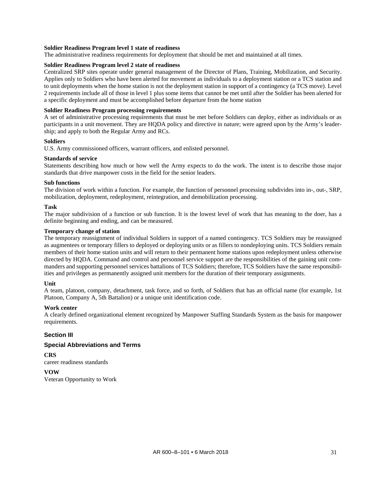#### **Soldier Readiness Program level 1 state of readiness**

The administrative readiness requirements for deployment that should be met and maintained at all times.

#### **Soldier Readiness Program level 2 state of readiness**

Centralized SRP sites operate under general management of the Director of Plans, Training, Mobilization, and Security. Applies only to Soldiers who have been alerted for movement as individuals to a deployment station or a TCS station and to unit deployments when the home station is not the deployment station in support of a contingency (a TCS move). Level 2 requirements include all of those in level 1 plus some items that cannot be met until after the Soldier has been alerted for a specific deployment and must be accomplished before departure from the home station

#### **Soldier Readiness Program processing requirements**

A set of administrative processing requirements that must be met before Soldiers can deploy, either as individuals or as participants in a unit movement. They are HQDA policy and directive in nature; were agreed upon by the Army's leadership; and apply to both the Regular Army and RCs.

#### **Soldiers**

U.S. Army commissioned officers, warrant officers, and enlisted personnel.

#### **Standards of service**

Statements describing how much or how well the Army expects to do the work. The intent is to describe those major standards that drive manpower costs in the field for the senior leaders.

#### **Sub functions**

The division of work within a function. For example, the function of personnel processing subdivides into in-, out-, SRP, mobilization, deployment, redeployment, reintegration, and demobilization processing.

#### **Task**

The major subdivision of a function or sub function. It is the lowest level of work that has meaning to the doer, has a definite beginning and ending, and can be measured.

#### **Temporary change of station**

The temporary reassignment of individual Soldiers in support of a named contingency. TCS Soldiers may be reassigned as augmentees or temporary fillers to deployed or deploying units or as fillers to nondeploying units. TCS Soldiers remain members of their home station units and will return to their permanent home stations upon redeployment unless otherwise directed by HQDA. Command and control and personnel service support are the responsibilities of the gaining unit commanders and supporting personnel services battalions of TCS Soldiers; therefore, TCS Soldiers have the same responsibilities and privileges as permanently assigned unit members for the duration of their temporary assignments.

#### **Unit**

A team, platoon, company, detachment, task force, and so forth, of Soldiers that has an official name (for example, 1st Platoon, Company A, 5th Battalion) or a unique unit identification code.

#### **Work center**

A clearly defined organizational element recognized by Manpower Staffing Standards System as the basis for manpower requirements.

#### **Section III**

#### **Special Abbreviations and Terms**

**CRS** career readiness standards

**VOW** Veteran Opportunity to Work